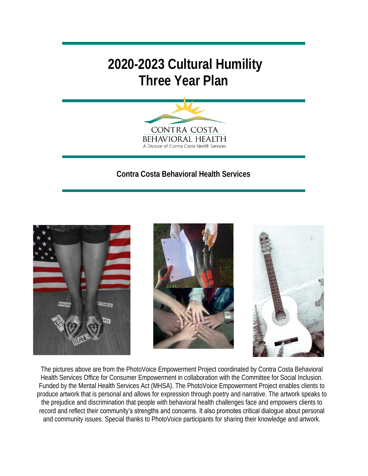# **2020-2023 Cultural Humility Three Year Plan**



**Contra Costa Behavioral Health Services**







The pictures above are from the PhotoVoice Empowerment Project coordinated by Contra Costa Behavioral Health Services Office for Consumer Empowerment in collaboration with the Committee for Social Inclusion. Funded by the Mental Health Services Act (MHSA). The PhotoVoice Empowerment Project enables clients to produce artwork that is personal and allows for expression through poetry and narrative. The artwork speaks to the prejudice and discrimination that people with behavioral health challenges face and empowers clients to record and reflect their community's strengths and concerns. It also promotes critical dialogue about personal and community issues. Special thanks to PhotoVoice participants for sharing their knowledge and artwork.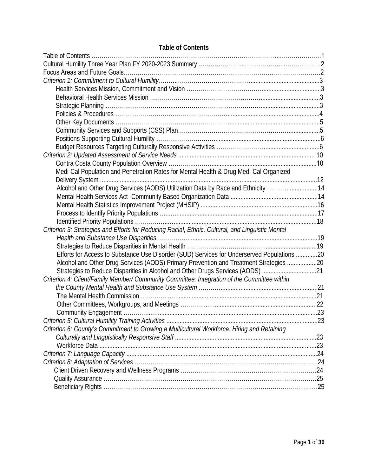| Medi-Cal Population and Penetration Rates for Mental Health & Drug Medi-Cal Organized            |  |
|--------------------------------------------------------------------------------------------------|--|
|                                                                                                  |  |
| Alcohol and Other Drug Services (AODS) Utilization Data by Race and Ethnicity 14                 |  |
|                                                                                                  |  |
|                                                                                                  |  |
|                                                                                                  |  |
|                                                                                                  |  |
| Criterion 3: Strategies and Efforts for Reducing Racial, Ethnic, Cultural, and Linguistic Mental |  |
|                                                                                                  |  |
|                                                                                                  |  |
| Efforts for Access to Substance Use Disorder (SUD) Services for Underserved Populations 20       |  |
| Alcohol and Other Drug Services (AODS) Primary Prevention and Treatment Strategies 20            |  |
| Strategies to Reduce Disparities in Alcohol and Other Drugs Services (AODS) 21                   |  |
| Criterion 4: Client/Family Member/ Community Committee: Integration of the Committee within      |  |
|                                                                                                  |  |
|                                                                                                  |  |
|                                                                                                  |  |
|                                                                                                  |  |
|                                                                                                  |  |
| Criterion 6: County's Commitment to Growing a Multicultural Workforce: Hiring and Retaining      |  |
|                                                                                                  |  |
|                                                                                                  |  |
|                                                                                                  |  |
|                                                                                                  |  |
|                                                                                                  |  |
|                                                                                                  |  |
|                                                                                                  |  |

## **Table of Contents**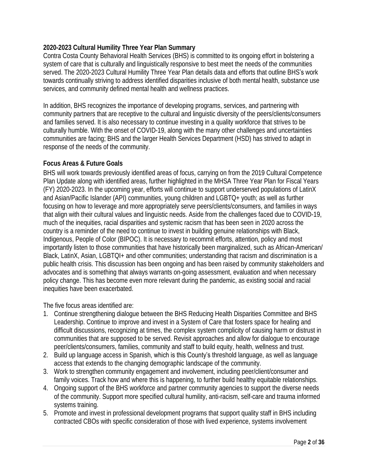#### **2020-2023 Cultural Humility Three Year Plan Summary**

Contra Costa County Behavioral Health Services (BHS) is committed to its ongoing effort in bolstering a system of care that is culturally and linguistically responsive to best meet the needs of the communities served. The 2020-2023 Cultural Humility Three Year Plan details data and efforts that outline BHS's work towards continually striving to address identified disparities inclusive of both mental health, substance use services, and community defined mental health and wellness practices.

In addition, BHS recognizes the importance of developing programs, services, and partnering with community partners that are receptive to the cultural and linguistic diversity of the peers/clients/consumers and families served. It is also necessary to continue investing in a quality workforce that strives to be culturally humble. With the onset of COVID-19, along with the many other challenges and uncertainties communities are facing; BHS and the larger Health Services Department (HSD) has strived to adapt in response of the needs of the community.

#### **Focus Areas & Future Goals**

BHS will work towards previously identified areas of focus, carrying on from the 2019 Cultural Competence Plan Update along with identified areas, further highlighted in the MHSA Three Year Plan for Fiscal Years (FY) 2020-2023. In the upcoming year, efforts will continue to support underserved populations of LatinX and Asian/Pacific Islander (API) communities, young children and LGBTQ+ youth; as well as further focusing on how to leverage and more appropriately serve peers/clients/consumers, and families in ways that align with their cultural values and linguistic needs. Aside from the challenges faced due to COVID-19, much of the inequities, racial disparities and systemic racism that has been seen in 2020 across the country is a reminder of the need to continue to invest in building genuine relationships with Black, Indigenous, People of Color (BIPOC). It is necessary to recommit efforts, attention, policy and most importantly listen to those communities that have historically been marginalized, such as African-American/ Black, LatinX, Asian, LGBTQI+ and other communities; understanding that racism and discrimination is a public health crisis. This discussion has been ongoing and has been raised by community stakeholders and advocates and is something that always warrants on-going assessment, evaluation and when necessary policy change. This has become even more relevant during the pandemic, as existing social and racial inequities have been exacerbated.

The five focus areas identified are:

- 1. Continue strengthening dialogue between the BHS Reducing Health Disparities Committee and BHS Leadership. Continue to improve and invest in a System of Care that fosters space for healing and difficult discussions, recognizing at times, the complex system complicity of causing harm or distrust in communities that are supposed to be served. Revisit approaches and allow for dialogue to encourage peer/clients/consumers, families, community and staff to build equity, health, wellness and trust.
- 2. Build up language access in Spanish, which is this County's threshold language, as well as language access that extends to the changing demographic landscape of the community.
- 3. Work to strengthen community engagement and involvement, including peer/client/consumer and family voices. Track how and where this is happening, to further build healthy equitable relationships.
- 4. Ongoing support of the BHS workforce and partner community agencies to support the diverse needs of the community. Support more specified cultural humility, anti-racism, self-care and trauma informed systems training.
- 5. Promote and invest in professional development programs that support quality staff in BHS including contracted CBOs with specific consideration of those with lived experience, systems involvement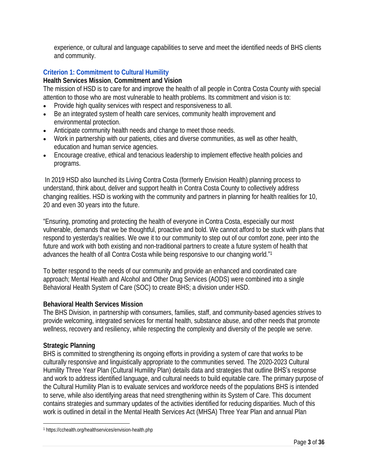experience, or cultural and language capabilities to serve and meet the identified needs of BHS clients and community.

# **Criterion 1: Commitment to Cultural Humility**

**Health Services Mission**, **Commitment and Vision**

The mission of HSD is to care for and improve the health of all people in Contra Costa County with special attention to those who are most vulnerable to health problems. Its commitment and vision is to:

- Provide [high quality services](https://cchealth.org/healthservices/excellence.php) with respect and responsiveness to all.
- Be an [integrated system](https://cchealth.org/healthservices/divisions.php) of health care services, community health improvement and environmental protection.
- Anticipate community health needs and change to meet those needs.
- Work in partnership with our patients, cities and diverse communities, as well as other health, education and human service agencies.
- Encourage creative, ethical and tenacious leadership to implement effective health policies and programs.

In 2019 HSD also launched its Living Contra Costa (formerly Envision Health) planning process to understand, think about, deliver and support health in Contra Costa County to collectively address changing realities. HSD is working with the community and partners in planning for health realities for 10, 20 and even 30 years into the future.

"Ensuring, promoting and protecting the health of everyone in Contra Costa, especially our most vulnerable, demands that we be thoughtful, proactive and bold. We cannot afford to be stuck with plans that respond to yesterday's realities. We owe it to our community to step out of our comfort zone, peer into the future and work with both existing and non-traditional partners to create a future system of health that advances the health of all Contra Costa while being responsive to our changing world."<sup>1</sup>

To better respond to the needs of our community and provide an enhanced and coordinated care approach; Mental Health and Alcohol and Other Drug Services (AODS) were combined into a single Behavioral Health System of Care (SOC) to create BHS; a division under HSD.

# **Behavioral Health Services Mission**

The BHS Division, in partnership with consumers, families, staff, and community-based agencies strives to provide welcoming, integrated services for mental health, substance abuse, and other needs that promote wellness, recovery and resiliency, while respecting the complexity and diversity of the people we serve.

# **Strategic Planning**

BHS is committed to strengthening its ongoing efforts in providing a system of care that works to be culturally responsive and linguistically appropriate to the communities served. The 2020-2023 Cultural Humility Three Year Plan (Cultural Humility Plan) details data and strategies that outline BHS's response and work to address identified language, and cultural needs to build equitable care. The primary purpose of the Cultural Humility Plan is to evaluate services and workforce needs of the populations BHS is intended to serve, while also identifying areas that need strengthening within its System of Care. This document contains strategies and summary updates of the activities identified for reducing disparities. Much of this work is outlined in detail in the Mental Health Services Act (MHSA) Three Year Plan and annual Plan

<sup>1</sup> https://cchealth.org/healthservices/envision-health.php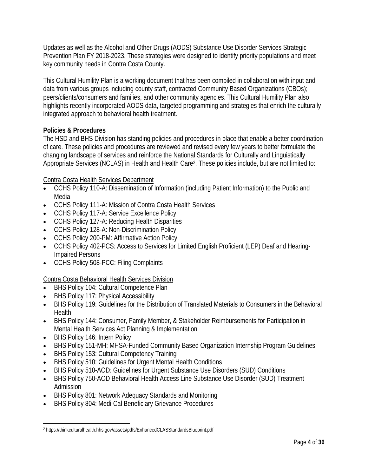Updates as well as the Alcohol and Other Drugs (AODS) Substance Use Disorder Services Strategic Prevention Plan FY 2018-2023. These strategies were designed to identify priority populations and meet key community needs in Contra Costa County.

This Cultural Humility Plan is a working document that has been compiled in collaboration with input and data from various groups including county staff, contracted Community Based Organizations (CBOs); peers/clients/consumers and families, and other community agencies. This Cultural Humility Plan also highlights recently incorporated AODS data, targeted programming and strategies that enrich the culturally integrated approach to behavioral health treatment.

## **Policies & Procedures**

The HSD and BHS Division has standing policies and procedures in place that enable a better coordination of care. These policies and procedures are reviewed and revised every few years to better formulate the changing landscape of services and reinforce the National Standards for Culturally and Linguistically Appropriate Services (NCLAS) in Health and Health Care<sup>2</sup>. These policies include, but are not limited to:

## Contra Costa Health Services Department

- CCHS Policy 110-A: Dissemination of Information (including Patient Information) to the Public and Media
- CCHS Policy 111-A: Mission of Contra Costa Health Services
- CCHS Policy 117-A: Service Excellence Policy
- CCHS Policy 127-A: Reducing Health Disparities
- CCHS Policy 128-A: Non-Discrimination Policy
- CCHS Policy 200-PM: Affirmative Action Policy
- CCHS Policy 402-PCS: Access to Services for Limited English Proficient (LEP) Deaf and Hearing-Impaired Persons
- CCHS Policy 508-PCC: Filing Complaints
- Contra Costa Behavioral Health Services Division
- BHS Policy 104: Cultural Competence Plan
- BHS Policy 117: Physical Accessibility
- BHS Policy 119: Guidelines for the Distribution of Translated Materials to Consumers in the Behavioral Health
- BHS Policy 144: Consumer, Family Member, & Stakeholder Reimbursements for Participation in Mental Health Services Act Planning & Implementation
- BHS Policy 146: Intern Policy
- BHS Policy 151-MH: MHSA-Funded Community Based Organization Internship Program Guidelines
- BHS Policy 153: Cultural Competency Training
- BHS Policy 510: Guidelines for Urgent Mental Health Conditions
- BHS Policy 510-AOD: Guidelines for Urgent Substance Use Disorders (SUD) Conditions
- BHS Policy 750-AOD Behavioral Health Access Line Substance Use Disorder (SUD) Treatment Admission
- BHS Policy 801: Network Adequacy Standards and Monitoring
- BHS Policy 804: Medi-Cal Beneficiary Grievance Procedures

<sup>2</sup> <https://thinkculturalhealth.hhs.gov/assets/pdfs/EnhancedCLASStandardsBlueprint.pdf>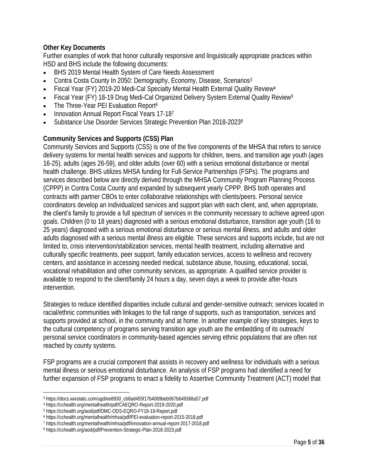#### **Other Key Documents**

Further examples of work that honor culturally responsive and linguistically appropriate practices within HSD and BHS include the following documents:

- BHS 2019 Mental Health System of Care Needs Assessment
- Contra Costa County In 2050: Demography, Economy, Disease, Scenarios<sup>3</sup>
- Fiscal Year (FY) 2019-20 Medi-Cal Specialty Mental Health External Quality Review<sup>4</sup>
- Fiscal Year (FY) 18-19 Drug Medi-Cal Organized Delivery System External Quality Review<sup>5</sup>
- The Three-Year PEI Evaluation Report<sup>6</sup>
- Innovation Annual Report Fiscal Years 17-18<sup>7</sup>
- Substance Use Disorder Services Strategic Prevention Plan 2018-2023<sup>8</sup>

#### **Community Services and Supports (CSS) Plan**

Community Services and Supports (CSS) is one of the five components of the MHSA that refers to service delivery systems for mental health services and supports for children, teens, and transition age youth (ages 16-25), adults (ages 26-59), and older adults (over 60) with a serious emotional disturbance or mental health challenge. BHS utilizes MHSA funding for Full-Service Partnerships (FSPs). The programs and services described below are directly derived through the MHSA Community Program Planning Process (CPPP) in Contra Costa County and expanded by subsequent yearly CPPP. BHS both operates and contracts with partner CBOs to enter collaborative relationships with clients/peers. Personal service coordinators develop an individualized services and support plan with each client, and, when appropriate, the client's family to provide a full spectrum of services in the community necessary to achieve agreed upon goals. Children (0 to 18 years) diagnosed with a serious emotional disturbance, transition age youth (16 to 25 years) diagnosed with a serious emotional disturbance or serious mental illness, and adults and older adults diagnosed with a serious mental illness are eligible. These services and supports include, but are not limited to, crisis intervention/stabilization services, mental health treatment, including alternative and culturally specific treatments, peer support, family education services, access to wellness and recovery centers, and assistance in accessing needed medical, substance abuse, housing, educational, social, vocational rehabilitation and other community services, as appropriate. A qualified service provider is available to respond to the client/family 24 hours a day, seven days a week to provide after-hours intervention.

Strategies to reduce identified disparities include cultural and gender-sensitive outreach; services located in racial/ethnic communities with linkages to the full range of supports, such as transportation, services and supports provided at school, in the community and at home. In another example of key strategies, keys to the cultural competency of programs serving transition age youth are the embedding of its outreach/ personal service coordinators in community-based agencies serving ethnic populations that are often not reached by county systems.

FSP programs are a crucial component that assists in recovery and wellness for individuals with a serious mental illness or serious emotional disturbance. An analysis of FSP programs had identified a need for further expansion of FSP programs to enact a fidelity to Assertive Community Treatment (ACT) model that

<sup>3</sup> [https://docs.wixstatic.com/ugd/ee8930\\_cb8ad455f17b4069beb067b649368a57.pdf](https://docs.wixstatic.com/ugd/ee8930_cb8ad455f17b4069beb067b649368a57.pdf)

<sup>4</sup> https://cchealth.org/mentalhealth/pdf/CAEQRO-Report-2019-2020.pdf

<sup>5</sup> <https://cchealth.org/aod/pdf/DMC-ODS-EQRO-FY18-19-Report.pdf>

<sup>6</sup> <https://cchealth.org/mentalhealth/mhsa/pdf/PEI-evaluation-report-2015-2018.pdf>

<sup>7</sup> https://cchealth.org/mentalhealth/mhsa/pdf/innovation-annual-report-2017-2018.pdf

<sup>8</sup> https://cchealth.org/aod/pdf/Prevention-Strategic-Plan-2018-2023.pdf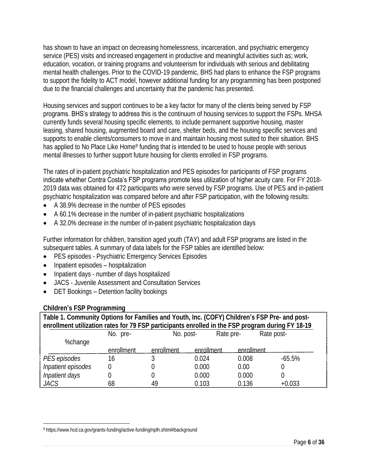has shown to have an impact on decreasing homelessness, incarceration, and psychiatric emergency service (PES) visits and increased engagement in productive and meaningful activities such as; work, education, vocation, or training programs and volunteerism for individuals with serious and debilitating mental health challenges. Prior to the COVID-19 pandemic, BHS had plans to enhance the FSP programs to support the fidelity to ACT model, however additional funding for any programming has been postponed due to the financial challenges and uncertainty that the pandemic has presented.

Housing services and support continues to be a key factor for many of the clients being served by FSP programs. BHS's strategy to address this is the continuum of housing services to support the FSPs. MHSA currently funds several housing specific elements, to include permanent supportive housing, master leasing, shared housing, augmented board and care, shelter beds, and the housing specific services and supports to enable clients/consumers to move in and maintain housing most suited to their situation. BHS has applied to No Place Like Home<sup>9</sup> funding that is intended to be used to house people with serious mental illnesses to further support future housing for clients enrolled in FSP programs.

The rates of in-patient psychiatric hospitalization and PES episodes for participants of FSP programs indicate whether Contra Costa's FSP programs promote less utilization of higher acuity care. For FY 2018-2019 data was obtained for 472 participants who were served by FSP programs. Use of PES and in-patient psychiatric hospitalization was compared before and after FSP participation, with the following results:

- A 38.9% decrease in the number of PES episodes
- A 60.1% decrease in the number of in-patient psychiatric hospitalizations
- A 32.0% decrease in the number of in-patient psychiatric hospitalization days

Further information for children, transition aged youth (TAY) and adult FSP programs are listed in the subsequent tables. A summary of data labels for the FSP tables are identified below:

- PES episodes Psychiatric Emergency Services Episodes
- Inpatient episodes hospitalization
- Inpatient days number of days hospitalized
- JACS Juvenile Assessment and Consultation Services
- DET Bookings Detention facility bookings

## **Children's FSP Programming**

| $5.1.1$ and $5.1.5.1$ and $5.1.1$ and $5.1.1$ and $5.1.1$ and $5.1.1$ and $5.1.1$ and $5.1.1$ and $5.1.1$ and $5.1.1$ and $5.1.1$ and $5.1.1$ and $5.1.1$ and $5.1.1$ and $5.1.1$ and $5.1.1$ and $5.1.1$ and $5.1.1$ and $5.$ |            |            |            |            |          |
|--------------------------------------------------------------------------------------------------------------------------------------------------------------------------------------------------------------------------------|------------|------------|------------|------------|----------|
| Table 1. Community Options for Families and Youth, Inc. (COFY) Children's FSP Pre- and post-                                                                                                                                   |            |            |            |            |          |
| enrollment utilization rates for 79 FSP participants enrolled in the FSP program during FY 18-19                                                                                                                               |            |            |            |            |          |
| Rate post-<br>Rate pre-<br>No. post-<br>No. pre-                                                                                                                                                                               |            |            |            |            |          |
| %change                                                                                                                                                                                                                        |            |            |            |            |          |
|                                                                                                                                                                                                                                | enrollment | enrollment | enrollment | enrollment |          |
| PES episodes                                                                                                                                                                                                                   | 16         |            | 0.024      | 0.008      | $-65.5%$ |
| Inpatient episodes                                                                                                                                                                                                             |            |            | 0.000      | 0.00       |          |
| Inpatient days                                                                                                                                                                                                                 |            |            | 0.000      | 0.000      |          |
| JACS                                                                                                                                                                                                                           | 68         | 49         | 0.103      | 0.136      | +0.033   |

<sup>9</sup> <https://www.hcd.ca.gov/grants-funding/active-funding/nplh.shtml#background>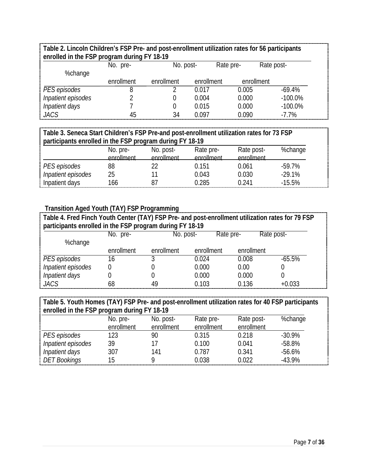**Table 2. Lincoln Children's FSP Pre- and post-enrollment utilization rates for 56 participants enrolled in the FSP program during FY 18-19**

|                    | No. pre-   | No. post-  |            | Rate pre-  | Rate post- |
|--------------------|------------|------------|------------|------------|------------|
| %change            |            |            |            |            |            |
|                    | enrollment | enrollment | enrollment | enrollment |            |
| PES episodes       |            |            | 0.017      | 0.005      | $-69.4%$   |
| Inpatient episodes |            |            | 0.004      | 0.000      | $-100.0\%$ |
| Inpatient days     |            |            | 0.015      | 0.000      | $-100.0\%$ |
| JACS               | 45         | 34         | 0.097      | 0.090      | $-7.7\%$   |

| Table 3. Seneca Start Children's FSP Pre-and post-enrollment utilization rates for 73 FSP |            |            |            |            |          |  |
|-------------------------------------------------------------------------------------------|------------|------------|------------|------------|----------|--|
| participants enrolled in the FSP program during FY 18-19                                  |            |            |            |            |          |  |
| %change<br>Rate post-<br>No. post-<br>Rate pre-<br>No. pre-                               |            |            |            |            |          |  |
|                                                                                           | enrollment | enrollment | enrollment | enrollment |          |  |
| PES episodes                                                                              | 88         |            | 0.151      | 0.061      | $-59.7%$ |  |
| Inpatient episodes                                                                        | 25         |            | 0.043      | 0.030      | $-29.1%$ |  |
| Inpatient days                                                                            | 166        |            | በ 285      | O 241      | $-15.5%$ |  |

#### **Transition Aged Youth (TAY) FSP Programming**

| Table 4. Fred Finch Youth Center (TAY) FSP Pre- and post-enrollment utilization rates for 79 FSP |            |            |            |            |            |
|--------------------------------------------------------------------------------------------------|------------|------------|------------|------------|------------|
| participants enrolled in the FSP program during FY 18-19                                         |            |            |            |            |            |
|                                                                                                  | No. pre-   | No. post-  | Rate pre-  |            | Rate post- |
| %change                                                                                          |            |            |            |            |            |
|                                                                                                  | enrollment | enrollment | enrollment | enrollment |            |
| PES episodes                                                                                     |            |            | 0.024      | 0.008      | $-65.5%$   |
| Inpatient episodes                                                                               |            |            | 0.000      | 0.00       |            |
| Inpatient days                                                                                   |            |            | 0.000      | 0.000      |            |
| JACS                                                                                             | 68         | 49         | ገ 1በ3      | 0.136      | $+0.033$   |

**Table 5. Youth Homes (TAY) FSP Pre- and post-enrollment utilization rates for 40 FSP participants enrolled in the FSP program during FY 18-19**

|                    | No. pre-      | No. post-  | Rate pre-  | Rate post- | %change   |
|--------------------|---------------|------------|------------|------------|-----------|
|                    | enrollment    | enrollment | enrollment | enrollment |           |
| PES episodes       | 23            | 90         | 0.315      | 0.218      | $-30.9\%$ |
| Inpatient episodes | 39            |            | 0.100      | 0.041      | $-58.8%$  |
| Inpatient days     | 307           | 141        | 0.787      | 0.341      | $-56.6%$  |
| DET Bookings       | $\mathfrak h$ |            | 0.038      | 0.022      | $-43.9%$  |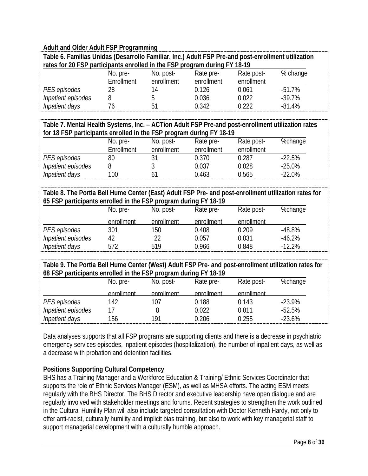#### **Adult and Older Adult FSP Programming**

| Table 6. Familias Unidas (Desarrollo Familiar, Inc.) Adult FSP Pre-and post-enrollment utilization<br>rates for 20 FSP participants enrolled in the FSP program during FY 18-19 |            |            |            |            |           |
|---------------------------------------------------------------------------------------------------------------------------------------------------------------------------------|------------|------------|------------|------------|-----------|
|                                                                                                                                                                                 |            |            |            |            |           |
|                                                                                                                                                                                 | No. pre-   | No. post-  | Rate pre-  | Rate post- | % change  |
|                                                                                                                                                                                 | Enrollment | enrollment | enrollment | enrollment |           |
| PES episodes                                                                                                                                                                    | 28         | 14         | 0.126      | 0.061      | $-51.7\%$ |
| Inpatient episodes                                                                                                                                                              | 8          |            | 0.036      | 0.022      | $-39.7%$  |
| Inpatient days                                                                                                                                                                  | 76         | 51         | 0.342      | N 222      | $-81.4%$  |

**Table 7. Mental Health Systems, Inc. – ACTion Adult FSP Pre-and post-enrollment utilization rates for 18 FSP participants enrolled in the FSP program during FY 18-19**

|                    | No. pre-   | No. post-  | Rate pre-  | Rate post- | %change  |
|--------------------|------------|------------|------------|------------|----------|
|                    | Enrollment | enrollment | enrollment | enrollment |          |
| PES episodes       | 80         |            | 0.370      | 0.287      | $-22.5%$ |
| Inpatient episodes |            |            | 0.037      | 0.028      | $-25.0%$ |
| Inpatient days     | 100        |            | 0.463      | 0.565      | $-22.0%$ |

**Table 8. The Portia Bell Hume Center (East) Adult FSP Pre- and post-enrollment utilization rates for 65 FSP participants enrolled in the FSP program during FY 18-19**

|                    | No. pre-   | No. post-  | Rate pre-  | Rate post- | %change   |
|--------------------|------------|------------|------------|------------|-----------|
|                    | enrollment | enrollment | enrollment | enrollment |           |
| PES episodes       |            | 150        | 0.408      | በ 209      | $-48.8\%$ |
| Inpatient episodes |            |            | 0.057      | 0.031      | $-46.2%$  |
| Inpatient days     | 572        | 519        | 0.966      | 0.848      | $-12.2%$  |

**Table 9. The Portia Bell Hume Center (West) Adult FSP Pre- and post-enrollment utilization rates for 68 FSP participants enrolled in the FSP program during FY 18-19**

|                    | No. pre-   | No. post-       | Rate pre-  | Rate post-    | %change  |
|--------------------|------------|-----------------|------------|---------------|----------|
|                    | enrollment | enrollment      | enrollment | $Pn$ rollment |          |
| PES episodes       | '42        | 107             | 0.188      | 0.143         | $-23.9%$ |
| Inpatient episodes |            |                 | 0.022      | 0.011         | $-52.5%$ |
| Inpatient days     | '56        | 19 <sup>1</sup> | 0.206      | 0.255         | $-23.6%$ |

Data analyses supports that all FSP programs are supporting clients and there is a decrease in psychiatric emergency services episodes, inpatient episodes (hospitalization), the number of inpatient days, as well as a decrease with probation and detention facilities.

## **Positions Supporting Cultural Competency**

BHS has a Training Manager and a Workforce Education & Training/ Ethnic Services Coordinator that supports the role of Ethnic Services Manager (ESM), as well as MHSA efforts. The acting ESM meets regularly with the BHS Director. The BHS Director and executive leadership have open dialogue and are regularly involved with stakeholder meetings and forums. Recent strategies to strengthen the work outlined in the Cultural Humility Plan will also include targeted consultation with Doctor Kenneth Hardy, not only to offer anti-racist, culturally humility and implicit bias training, but also to work with key managerial staff to support managerial development with a culturally humble approach.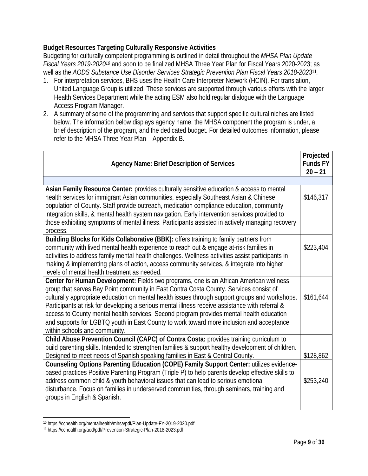**Budget Resources Targeting Culturally Responsive Activities** Budgeting for culturally competent programming is outlined in detail throughout the *MHSA Plan Update Fiscal Years 2019-2020<sup>10</sup>* and soon to be finalized MHSA Three Year Plan for Fiscal Years 2020-2023; as well as the *AODS Substance Use Disorder Services Strategic Prevention Plan Fiscal Years 2018-2023*<sup>11</sup> *.* 

- 1. For interpretation services, BHS uses the Health Care Interpreter Network (HCIN). For translation, United Language Group is utilized. These services are supported through various efforts with the larger Health Services Department while the acting ESM also hold regular dialogue with the Language Access Program Manager.
- 2. A summary of some of the programming and services that support specific cultural niches are listed below. The information below displays agency name, the MHSA component the program is under, a brief description of the program, and the dedicated budget. For detailed outcomes information, please refer to the MHSA Three Year Plan – Appendix B.

| Agency Name: Brief Description of Services                                                                                                                                                                                                                                                                                                                                                                                                                                                                                                                                                                     | Projected<br>Funds FY<br>$20 - 21$ |
|----------------------------------------------------------------------------------------------------------------------------------------------------------------------------------------------------------------------------------------------------------------------------------------------------------------------------------------------------------------------------------------------------------------------------------------------------------------------------------------------------------------------------------------------------------------------------------------------------------------|------------------------------------|
|                                                                                                                                                                                                                                                                                                                                                                                                                                                                                                                                                                                                                |                                    |
| Asian Family Resource Center: provides culturally sensitive education & access to mental<br>health services for immigrant Asian communities, especially Southeast Asian & Chinese<br>population of County. Staff provide outreach, medication compliance education, community<br>integration skills, & mental health system navigation. Early intervention services provided to<br>those exhibiting symptoms of mental illness. Participants assisted in actively managing recovery<br>process.                                                                                                                | \$146,317                          |
| Building Blocks for Kids Collaborative (BBK): offers training to family partners from<br>community with lived mental health experience to reach out & engage at-risk families in<br>activities to address family mental health challenges. Wellness activities assist participants in<br>making & implementing plans of action, access community services, & integrate into higher<br>levels of mental health treatment as needed.                                                                                                                                                                             | \$223,404                          |
| Center for Human Development: Fields two programs, one is an African American wellness<br>group that serves Bay Point community in East Contra Costa County. Services consist of<br>culturally appropriate education on mental health issues through support groups and workshops.<br>Participants at risk for developing a serious mental illness receive assistance with referral &<br>access to County mental health services. Second program provides mental health education<br>and supports for LGBTQ youth in East County to work toward more inclusion and acceptance<br>within schools and community. | \$161,644                          |
| Child Abuse Prevention Council (CAPC) of Contra Costa: provides training curriculum to<br>build parenting skills. Intended to strengthen families & support healthy development of children.                                                                                                                                                                                                                                                                                                                                                                                                                   |                                    |
| Designed to meet needs of Spanish speaking families in East & Central County.<br>Counseling Options Parenting Education (COPE) Family Support Center: utilizes evidence-<br>based practices Positive Parenting Program (Triple P) to help parents develop effective skills to<br>address common child & youth behavioral issues that can lead to serious emotional<br>disturbance. Focus on families in underserved communities, through seminars, training and<br>groups in English & Spanish.                                                                                                                | \$128,862<br>\$253,240             |

<sup>10</sup> <https://cchealth.org/mentalhealth/mhsa/pdf/Plan-Update-FY-2019-2020.pdf>

<sup>11</sup> <https://cchealth.org/aod/pdf/Prevention-Strategic-Plan-2018-2023.pdf>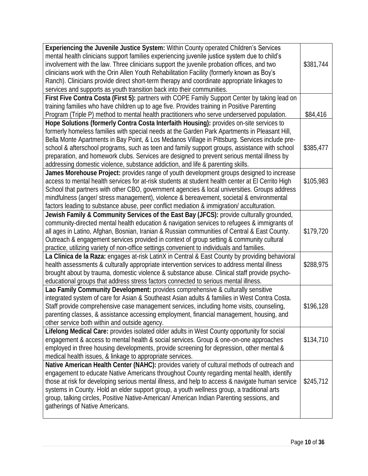| Experiencing the Juvenile Justice System: Within County operated Children's Services<br>mental health clinicians support families experiencing juvenile justice system due to child's<br>involvement with the law. Three clinicians support the juvenile probation offices, and two<br>clinicians work with the Orin Allen Youth Rehabilitation Facility (formerly known as Boy's<br>Ranch). Clinicians provide direct short-term therapy and coordinate appropriate linkages to                                                                                              | \$381,744 |
|-------------------------------------------------------------------------------------------------------------------------------------------------------------------------------------------------------------------------------------------------------------------------------------------------------------------------------------------------------------------------------------------------------------------------------------------------------------------------------------------------------------------------------------------------------------------------------|-----------|
| services and supports as youth transition back into their communities.                                                                                                                                                                                                                                                                                                                                                                                                                                                                                                        |           |
| First Five Contra Costa (First 5): partners with COPE Family Support Center by taking lead on                                                                                                                                                                                                                                                                                                                                                                                                                                                                                 |           |
| training families who have children up to age five. Provides training in Positive Parenting                                                                                                                                                                                                                                                                                                                                                                                                                                                                                   |           |
| Program (Triple P) method to mental health practitioners who serve underserved population.                                                                                                                                                                                                                                                                                                                                                                                                                                                                                    | \$84,416  |
| Hope Solutions (formerly Contra Costa Interfaith Housing): provides on-site services to<br>formerly homeless families with special needs at the Garden Park Apartments in Pleasant Hill,<br>Bella Monte Apartments in Bay Point, & Los Medanos Village in Pittsburg. Services include pre-<br>school & afterschool programs, such as teen and family support groups, assistance with school<br>preparation, and homework clubs. Services are designed to prevent serious mental illness by<br>addressing domestic violence, substance addiction, and life & parenting skills. | \$385,477 |
| James Morehouse Project: provides range of youth development groups designed to increase<br>access to mental health services for at-risk students at student health center at El Cerrito High<br>School that partners with other CBO, government agencies & local universities. Groups address<br>mindfulness (anger/ stress management), violence & bereavement, societal & environmental<br>factors leading to substance abuse, peer conflict mediation & immigration/acculturation.                                                                                        | \$105,983 |
| Jewish Family & Community Services of the East Bay (JFCS): provide culturally grounded,<br>community-directed mental health education & navigation services to refugees & immigrants of<br>all ages in Latino, Afghan, Bosnian, Iranian & Russian communities of Central & East County.<br>Outreach & engagement services provided in context of group setting & community cultural<br>practice, utilizing variety of non-office settings convenient to individuals and families.                                                                                             | \$179,720 |
| La Clinica de la Raza: engages at-risk LatinX in Central & East County by providing behavioral<br>health assessments & culturally appropriate intervention services to address mental illness<br>brought about by trauma, domestic violence & substance abuse. Clinical staff provide psycho-<br>educational groups that address stress factors connected to serious mental illness.                                                                                                                                                                                          | \$288,975 |
| Lao Family Community Development: provides comprehensive & culturally sensitive<br>integrated system of care for Asian & Southeast Asian adults & families in West Contra Costa.<br>Staff provide comprehensive case management services, including home visits, counseling,<br>parenting classes, & assistance accessing employment, financial management, housing, and<br>other service both within and outside agency.                                                                                                                                                     | \$196,128 |
| Lifelong Medical Care: provides isolated older adults in West County opportunity for social<br>engagement & access to mental health & social services. Group & one-on-one approaches<br>employed in three housing developments, provide screening for depression, other mental &<br>medical health issues, & linkage to appropriate services.                                                                                                                                                                                                                                 | \$134,710 |
| Native American Health Center (NAHC): provides variety of cultural methods of outreach and<br>engagement to educate Native Americans throughout County regarding mental health, identify<br>those at risk for developing serious mental illness, and help to access & navigate human service<br>systems in County. Hold an elder support group, a youth wellness group, a traditional arts<br>group, talking circles, Positive Native-American/ American Indian Parenting sessions, and<br>gatherings of Native Americans.                                                    | \$245,712 |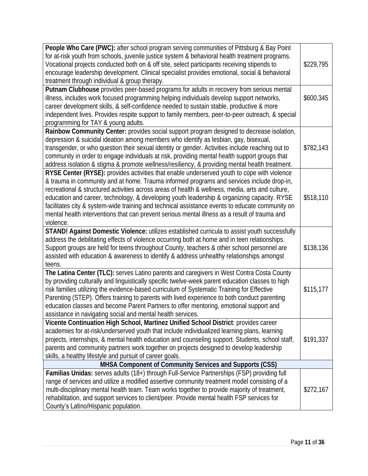| People Who Care (PWC): after school program serving communities of Pittsburg & Bay Point<br>for at-risk youth from schools, juvenile justice system & behavioral health treatment programs.<br>Vocational projects conducted both on & off site, select participants receiving stipends to<br>encourage leadership development. Clinical specialist provides emotional, social & behavioral<br>treatment through individual & group therapy.                                                                                                                                                                 | \$229,795 |
|--------------------------------------------------------------------------------------------------------------------------------------------------------------------------------------------------------------------------------------------------------------------------------------------------------------------------------------------------------------------------------------------------------------------------------------------------------------------------------------------------------------------------------------------------------------------------------------------------------------|-----------|
| Putnam Clubhouse provides peer-based programs for adults in recovery from serious mental<br>illness, includes work focused programming helping individuals develop support networks,<br>career development skills, & self-confidence needed to sustain stable, productive & more<br>independent lives. Provides respite support to family members, peer-to-peer outreach, & special<br>programming for TAY & young adults.                                                                                                                                                                                   | \$600,345 |
| Rainbow Community Center: provides social support program designed to decrease isolation,<br>depression & suicidal ideation among members who identify as lesbian, gay, bisexual,<br>transgender, or who question their sexual identity or gender. Activities include reaching out to<br>community in order to engage individuals at risk, providing mental health support groups that<br>address isolation & stigma & promote wellness/resiliency, & providing mental health treatment.                                                                                                                     | \$782,143 |
| RYSE Center (RYSE): provides activities that enable underserved youth to cope with violence<br>& trauma in community and at home. Trauma informed programs and services include drop-in,<br>recreational & structured activities across areas of health & wellness, media, arts and culture,<br>education and career, technology, & developing youth leadership & organizing capacity. RYSE<br>facilitates city & system-wide training and technical assistance events to educate community on<br>mental health interventions that can prevent serious mental illness as a result of trauma and<br>violence. | \$518,110 |
| STAND! Against Domestic Violence: utilizes established curricula to assist youth successfully<br>address the debilitating effects of violence occurring both at home and in teen relationships.<br>Support groups are held for teens throughout County, teachers & other school personnel are<br>assisted with education & awareness to identify & address unhealthy relationships amongst<br>teens.                                                                                                                                                                                                         | \$138,136 |
| The Latina Center (TLC): serves Latino parents and caregivers in West Contra Costa County<br>by providing culturally and linguistically specific twelve-week parent education classes to high<br>risk families utilizing the evidence-based curriculum of Systematic Training for Effective<br>Parenting (STEP). Offers training to parents with lived experience to both conduct parenting<br>education classes and become Parent Partners to offer mentoring, emotional support and<br>assistance in navigating social and mental health services.                                                         | \$115,177 |
| Vicente Continuation High School, Martinez Unified School District: provides career<br>academies for at-risk/underserved youth that include individualized learning plans, learning<br>projects, internships, & mental health education and counseling support. Students, school staff,<br>parents and community partners work together on projects designed to develop leadership<br>skills, a healthy lifestyle and pursuit of career goals.                                                                                                                                                               | \$191,337 |
| MHSA Component of Community Services and Supports (CSS)                                                                                                                                                                                                                                                                                                                                                                                                                                                                                                                                                      |           |
| Familias Unidas: serves adults (18+) through Full-Service Partnerships (FSP) providing full<br>range of services and utilize a modified assertive community treatment model consisting of a<br>multi-disciplinary mental health team. Team works together to provide majority of treatment,<br>rehabilitation, and support services to client/peer. Provide mental health FSP services for<br>County's Latino/Hispanic population.                                                                                                                                                                           | \$272,167 |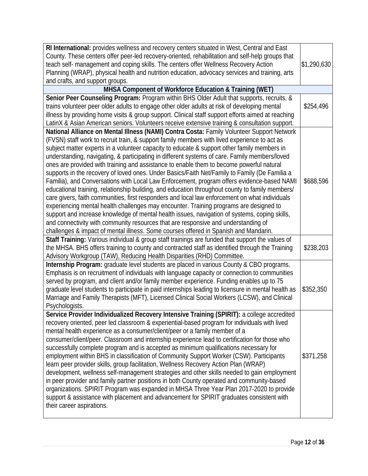| RI International: provides wellness and recovery centers situated in West, Central and East<br>County. These centers offer peer-led recovery-oriented, rehabilitation and self-help groups that |             |
|-------------------------------------------------------------------------------------------------------------------------------------------------------------------------------------------------|-------------|
| teach self- management and coping skills. The centers offer Wellness Recovery Action                                                                                                            | \$1,290,630 |
| Planning (WRAP), physical health and nutrition education, advocacy services and training, arts<br>and crafts, and support groups.                                                               |             |
| MHSA Component of Workforce Education & Training (WET)                                                                                                                                          |             |
| Senior Peer Counseling Program: Program within BHS Older Adult that supports, recruits, &                                                                                                       |             |
| trains volunteer peer older adults to engage other older adults at risk of developing mental                                                                                                    | \$254,496   |
| illness by providing home visits & group support. Clinical staff support efforts aimed at reaching                                                                                              |             |
| LatinX & Asian American seniors. Volunteers receive extensive training & consultation support.                                                                                                  |             |
| National Alliance on Mental Illness (NAMI) Contra Costa: Family Volunteer Support Network                                                                                                       |             |
| (FVSN) staff work to recruit train, & support family members with lived experience to act as                                                                                                    |             |
| subject matter experts in a volunteer capacity to educate & support other family members in                                                                                                     |             |
| understanding, navigating, & participating in different systems of care. Family members/loved                                                                                                   |             |
| ones are provided with training and assistance to enable them to become powerful natural                                                                                                        |             |
| supports in the recovery of loved ones. Under Basics/Faith Net/Family to Family (De Familia a                                                                                                   |             |
| Familia), and Conversations with Local Law Enforcement, program offers evidence-based NAMI                                                                                                      | \$688,596   |
| educational training, relationship building, and education throughout county to family members/                                                                                                 |             |
| care givers, faith communities, first responders and local law enforcement on what individuals                                                                                                  |             |
| experiencing mental health challenges may encounter. Training programs are designed to                                                                                                          |             |
| support and increase knowledge of mental health issues, navigation of systems, coping skills,                                                                                                   |             |
| and connectivity with community resources that are responsive and understanding of                                                                                                              |             |
| challenges & impact of mental illness. Some courses offered in Spanish and Mandarin.                                                                                                            |             |
| Staff Training: Various individual & group staff trainings are funded that support the values of                                                                                                |             |
| the MHSA. BHS offers training to county and contracted staff as identified through the Training                                                                                                 | \$238,203   |
| Advisory Workgroup (TAW), Reducing Health Disparities (RHD) Committee.                                                                                                                          |             |
| Internship Program: graduate level students are placed in various County & CBO programs.                                                                                                        |             |
| Emphasis is on recruitment of individuals with language capacity or connection to communities                                                                                                   |             |
| served by program, and client and/or family member experience. Funding enables up to 75                                                                                                         |             |
| graduate level students to participate in paid internships leading to licensure in mental health as                                                                                             | \$352,350   |
| Marriage and Family Therapists (MFT), Licensed Clinical Social Workers (LCSW), and Clinical<br>Psychologists.                                                                                   |             |
| Service Provider Individualized Recovery Intensive Training (SPIRIT): a college accredited                                                                                                      |             |
| recovery oriented, peer led classroom & experiential-based program for individuals with lived                                                                                                   |             |
| mental health experience as a consumer/client/peer or a family member of a                                                                                                                      |             |
| consumer/client/peer. Classroom and internship experience lead to certification for those who                                                                                                   |             |
| successfully complete program and is accepted as minimum qualifications necessary for                                                                                                           |             |
| employment within BHS in classification of Community Support Worker (CSW). Participants                                                                                                         | \$371,258   |
| learn peer provider skills, group facilitation, Wellness Recovery Action Plan (WRAP)                                                                                                            |             |
| development, wellness self-management strategies and other skills needed to gain employment                                                                                                     |             |
| in peer provider and family partner positions in both County operated and community-based                                                                                                       |             |
| organizations. SPIRIT Program was expanded in MHSA Three Year Plan 2017-2020 to provide                                                                                                         |             |
| support & assistance with placement and advancement for SPIRIT graduates consistent with                                                                                                        |             |
| their career aspirations.                                                                                                                                                                       |             |
|                                                                                                                                                                                                 |             |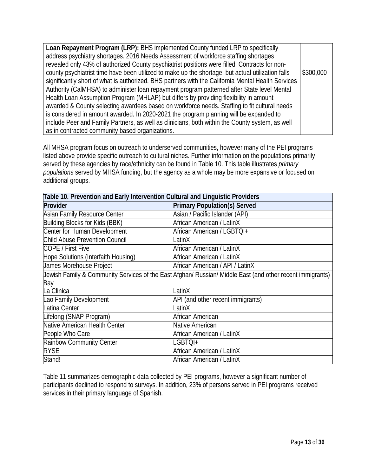1) **Loan Repayment Program (LRP):** BHS implemented County funded LRP to specifically address psychiatry shortages. 2016 Needs Assessment of workforce staffing shortages revealed only 43% of authorized County psychiatrist positions were filled. Contracts for noncounty psychiatrist time have been utilized to make up the shortage, but actual utilization falls significantly short of what is authorized. BHS partners with the California Mental Health Services Authority (CalMHSA) to administer loan repayment program patterned after State level Mental Health Loan Assumption Program (MHLAP) but differs by providing flexibility in amount awarded & County selecting awardees based on workforce needs. Staffing to fit cultural needs is considered in amount awarded. In 2020-2021 the program planning will be expanded to include Peer and Family Partners, as well as clinicians, both within the County system, as well as in contracted community based organizations. \$300,000

All MHSA program focus on outreach to underserved communities, however many of the PEI programs listed above provide specific outreach to cultural niches. Further information on the populations primarily served by these agencies by race/ethnicity can be found in Table 10. This table illustrates *primary populations* served by MHSA funding, but the agency as a whole may be more expansive or focused on additional groups.

| Table 10. Prevention and Early Intervention Cultural and Linguistic Providers |                                                                                                           |
|-------------------------------------------------------------------------------|-----------------------------------------------------------------------------------------------------------|
| Provider                                                                      | Primary Population(s) Served                                                                              |
| <b>Asian Family Resource Center</b>                                           | Asian / Pacific Islander (API)                                                                            |
| <b>Building Blocks for Kids (BBK)</b>                                         | African American / LatinX                                                                                 |
| Center for Human Development                                                  | African American / LGBTQI+                                                                                |
| <b>Child Abuse Prevention Council</b>                                         | LatinX                                                                                                    |
| COPE / First Five                                                             | African American / LatinX                                                                                 |
| Hope Solutions (Interfaith Housing)                                           | African American / LatinX                                                                                 |
| James Morehouse Project                                                       | African American / API / LatinX                                                                           |
|                                                                               | Jewish Family & Community Services of the East Afghan/ Russian/ Middle East (and other recent immigrants) |
| Bay                                                                           |                                                                                                           |
| La Clinica                                                                    | _atinX                                                                                                    |
| Lao Family Development                                                        | API (and other recent immigrants)                                                                         |
| Latina Center                                                                 | LatinX                                                                                                    |
| Lifelong (SNAP Program)                                                       | African American                                                                                          |
| Native American Health Center                                                 | Native American                                                                                           |
| People Who Care                                                               | African American / LatinX                                                                                 |
| Rainbow Community Center                                                      | LGBTQI+                                                                                                   |
| <b>RYSE</b>                                                                   | African American / LatinX                                                                                 |
| Stand!                                                                        | African American / LatinX                                                                                 |

Table 11 summarizes demographic data collected by PEI programs, however a significant number of participants declined to respond to surveys. In addition, 23% of persons served in PEI programs received services in their primary language of Spanish.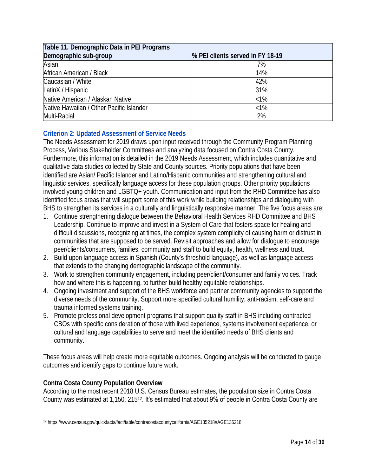| Table 11. Demographic Data in PEI Programs |                                  |
|--------------------------------------------|----------------------------------|
| Demographic sub-group                      | % PEI clients served in FY 18-19 |
| Asian                                      | 7%                               |
| African American / Black                   | 14%                              |
| Caucasian / White                          | 42%                              |
| LatinX / Hispanic                          | 31%                              |
| Native American / Alaskan Native           | $< 1\%$                          |
| Native Hawaiian / Other Pacific Islander   | $< 1\%$                          |
| Multi-Racial                               | 2%                               |

## **Criterion 2: Updated Assessment of Service Needs**

The Needs Assessment for 2019 draws upon input received through the Community Program Planning Process, Various Stakeholder Committees and analyzing data focused on Contra Costa County. Furthermore, this information is detailed in the 2019 Needs Assessment, which includes quantitative and qualitative data studies collected by State and County sources. Priority populations that have been identified are Asian/ Pacific Islander and Latino/Hispanic communities and strengthening cultural and linguistic services, specifically language access for these population groups. Other priority populations involved young children and LGBTQ+ youth. Communication and input from the RHD Committee has also identified focus areas that will support some of this work while building relationships and dialoguing with BHS to strengthen its services in a culturally and linguistically responsive manner. The five focus areas are:

- 1. Continue strengthening dialogue between the Behavioral Health Services RHD Committee and BHS Leadership. Continue to improve and invest in a System of Care that fosters space for healing and difficult discussions, recognizing at times, the complex system complicity of causing harm or distrust in communities that are supposed to be served. Revisit approaches and allow for dialogue to encourage peer/clients/consumers, families, community and staff to build equity, health, wellness and trust.
- 2. Build upon language access in Spanish (County's threshold language), as well as language access that extends to the changing demographic landscape of the community.
- 3. Work to strengthen community engagement, including peer/client/consumer and family voices. Track how and where this is happening, to further build healthy equitable relationships.
- 4. Ongoing investment and support of the BHS workforce and partner community agencies to support the diverse needs of the community. Support more specified cultural humility, anti-racism, self-care and trauma informed systems training.
- 5. Promote professional development programs that support quality staff in BHS including contracted CBOs with specific consideration of those with lived experience, systems involvement experience, or cultural and language capabilities to serve and meet the identified needs of BHS clients and community.

These focus areas will help create more equitable outcomes. Ongoing analysis will be conducted to gauge outcomes and identify gaps to continue future work.

## **Contra Costa County Population Overview**

According to the most recent 2018 U.S. Census Bureau estimates, the population size in Contra Costa County was estimated at 1,150, 215<sup>12</sup>. It's estimated that about 9% of people in Contra Costa County are

<sup>12</sup> <https://www.census.gov/quickfacts/fact/table/contracostacountycalifornia/AGE135218#AGE135218>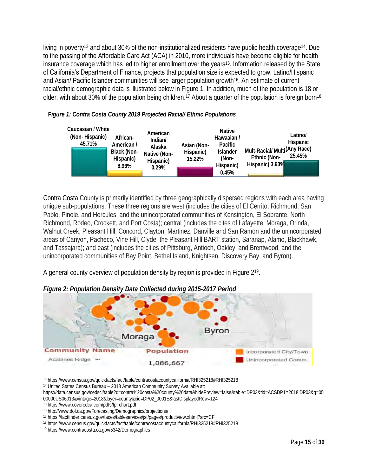living in poverty<sup>13</sup> and about 30% of the non-institutionalized residents have public health coverage14. Due to the passing of the Affordable Care Act (ACA) in 2010, more individuals have become eligible for health insurance coverage which has led to higher enrollment over the years<sup>15</sup>. Information released by the State of California's Department of Finance, projects that population size is expected to grow. Latino/Hispanic and Asian/ Pacific Islander communities will see larger population growth<sup>16</sup>. An estimate of current racial/ethnic demographic data is illustrated below in Figure 1. In addition, much of the population is 18 or older, with about 30% of the population being children.<sup>17</sup> About a quarter of the population is foreign born<sup>18</sup>.



**F***igure 1: Contra Costa County 2019 Projected Racial/ Ethnic Populations*

Contra Costa County is primarily identified by three geographically dispersed regions with each area having unique sub-populations. These three regions are west (includes the cities of El Cerrito, Richmond, San Pablo, Pinole, and Hercules, and the unincorporated communities of Kensington, El Sobrante, North Richmond, Rodeo, Crockett, and Port Costa); central (includes the cites of Lafayette, Moraga, Orinda, Walnut Creek, Pleasant Hill, Concord, Clayton, Martinez, Danville and San Ramon and the unincorporated areas of Canyon, Pacheco, Vine Hill, Clyde, the Pleasant Hill BART station, Saranap, Alamo, Blackhawk, and Tassajara); and east (includes the cities of Pittsburg, Antioch, Oakley, and Brentwood, and the unincorporated communities of Bay Point, Bethel Island, Knightsen, Discovery Bay, and Byron).

A general county overview of population density by region is provided in Figure 2<sup>19</sup>.



*Figure 2: Population Density Data Collected during 2015-2017 Period*

<sup>13</sup> <https://www.census.gov/quickfacts/fact/table/contracostacountycalifornia/RHI325218#RHI325218>

<sup>14</sup> United States Census Bureau – 2018 American Community Survey Available at:

[https://data.census.gov/cedsci/table?q=contra%20costa%20county%20data&hidePreview=false&table=DP03&tid=ACSDP1Y2018.DP03&g=05](https://data.census.gov/cedsci/table?q=contra%20costa%20county%20data&hidePreview=false&table=DP03&tid=ACSDP1Y2018.DP03&g=0500000US06013&vintage=2018&layer=county&cid=DP02_0001E&lastDisplayedRow=124) [00000US06013&vintage=2018&layer=county&cid=DP02\\_0001E&lastDisplayedRow=124](https://data.census.gov/cedsci/table?q=contra%20costa%20county%20data&hidePreview=false&table=DP03&tid=ACSDP1Y2018.DP03&g=0500000US06013&vintage=2018&layer=county&cid=DP02_0001E&lastDisplayedRow=124)

<sup>15</sup> https://www.coveredca.com/pdfs/fpl-chart.pdf

<sup>16</sup> <http://www.dof.ca.gov/Forecasting/Demographics/projections/>

<sup>17</sup> <https://factfinder.census.gov/faces/tableservices/jsf/pages/productview.xhtml?src=CF>

<sup>18</sup> <https://www.census.gov/quickfacts/fact/table/contracostacountycalifornia/RHI325218#RHI325218>

<sup>19</sup> https://www.contracosta.ca.gov/5342/Demographics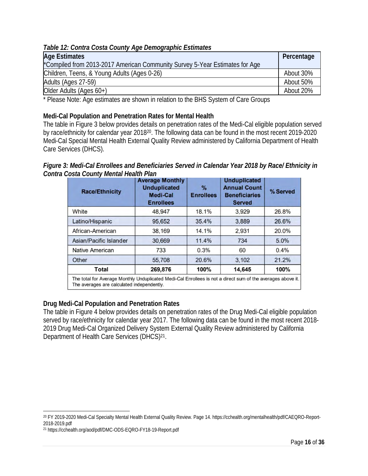*Table 12: Contra Costa County Age Demographic Estimates*

| Age Estimates                                                               | Percentage |
|-----------------------------------------------------------------------------|------------|
| *Compiled from 2013-2017 American Community Survey 5-Year Estimates for Age |            |
| Children, Teens, & Young Adults (Ages 0-26)                                 | About 30%  |
| Adults (Ages 27-59)                                                         | About 50%  |
| Older Adults (Ages 60+)                                                     | About 20%  |

\* Please Note: Age estimates are shown in relation to the BHS System of Care Groups

**Medi-Cal Population and Penetration Rates for Mental Health**

The table in Figure 3 below provides details on penetration rates of the Medi-Cal eligible population served by race/ethnicity for calendar year 2018<sup>20</sup>. The following data can be found in the most recent 2019-2020 Medi-Cal Special Mental Health External Quality Review administered by California Department of Health Care Services (DHCS).

*Figure 3: Medi-Cal Enrollees and Beneficiaries Served in Calendar Year 2018 by Race/ Ethnicity in Contra Costa County Mental Health Plan*

| <b>Race/Ethnicity</b>  | <b>Average Monthly</b><br><b>Unduplicated</b><br><b>Medi-Cal</b><br><b>Enrollees</b> | %<br><b>Enrollees</b> | <b>Unduplicated</b><br><b>Annual Count</b><br><b>Beneficiaries</b><br><b>Served</b> | % Served |
|------------------------|--------------------------------------------------------------------------------------|-----------------------|-------------------------------------------------------------------------------------|----------|
| White                  | 48,947                                                                               | 18.1%                 | 3.929                                                                               | 26.8%    |
| Latino/Hispanic        | 95,652                                                                               | 35.4%                 | 3,889                                                                               | 26.6%    |
| African-American       | 38,169                                                                               | 14.1%                 | 2,931                                                                               | 20.0%    |
| Asian/Pacific Islander | 30,669                                                                               | 11.4%                 | 734                                                                                 | 5.0%     |
| <b>Native American</b> | 733                                                                                  | 0.3%                  | 60                                                                                  | 0.4%     |
| Other                  | 55,708                                                                               | 20.6%                 | 3,102                                                                               | 21.2%    |
| Total                  | 269,876                                                                              | 100%                  | 14,645                                                                              | 100%     |

**Drug Medi-Cal Population and Penetration Rates**

The table in Figure 4 below provides details on penetration rates of the Drug Medi-Cal eligible population served by race/ethnicity for calendar year 2017. The following data can be found in the most recent 2018- 2019 Drug Medi-Cal Organized Delivery System External Quality Review administered by California Department of Health Care Services (DHCS)<sup>21</sup>.

<sup>20</sup> FY 2019-2020 Medi-Cal Specialty Mental Health External Quality Review. Page 14[. https://cchealth.org/mentalhealth/pdf/CAEQRO-Report-](https://cchealth.org/mentalhealth/pdf/CAEQRO-Report-2018-2019.pdf)[2018-2019.pdf](https://cchealth.org/mentalhealth/pdf/CAEQRO-Report-2018-2019.pdf)

<sup>21</sup> https://cchealth.org/aod/pdf/DMC-ODS-EQRO-FY18-19-Report.pdf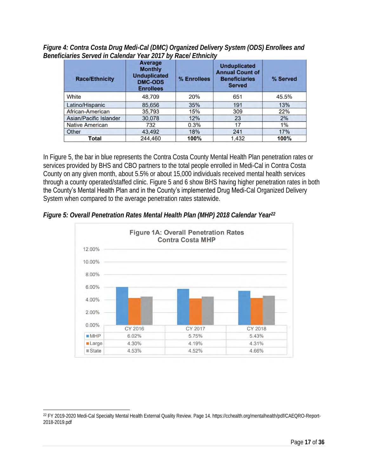*Figure 4: Contra Costa Drug Medi-Cal (DMC) Organized Delivery System (ODS) Enrollees and Beneficiaries Served in Calendar Year 2017 by Race/ Ethnicity*

| <b>Race/Ethnicity</b>  | Average<br><b>Monthly</b><br><b>Unduplicated</b><br><b>DMC-ODS</b><br><b>Enrollees</b> | % Enrollees | <b>Unduplicated</b><br><b>Annual Count of</b><br><b>Beneficiaries</b><br><b>Served</b> | % Served |
|------------------------|----------------------------------------------------------------------------------------|-------------|----------------------------------------------------------------------------------------|----------|
| White                  | 48,709                                                                                 | 20%         | 651                                                                                    | 45.5%    |
| Latino/Hispanic        | 85,656                                                                                 | 35%         | 191                                                                                    | 13%      |
| African-American       | 35,793                                                                                 | 15%         | 309                                                                                    | 22%      |
| Asian/Pacific Islander | 30.078                                                                                 | 12%         | 23                                                                                     | 2%       |
| <b>Native American</b> | 732                                                                                    | 0.3%        | 17                                                                                     | 1%       |
| Other                  | 43,492                                                                                 | 18%         | 241                                                                                    | 17%      |
| Total                  | 244,460                                                                                | 100%        | 1.432                                                                                  | 100%     |

In Figure 5, the bar in blue represents the Contra Costa County Mental Health Plan penetration rates or services provided by BHS and CBO partners to the total people enrolled in Medi-Cal in Contra Costa County on any given month, about 5.5% or about 15,000 individuals received mental health services through a county operated/staffed clinic. Figure 5 and 6 show BHS having higher penetration rates in both the County's Mental Health Plan and in the County's implemented Drug Medi-Cal Organized Delivery System when compared to the average penetration rates statewide.



*Figure 5: Overall Penetration Rates Mental Health Plan (MHP) 2018 Calendar Year<sup>22</sup>*

<sup>22</sup> FY 2019-2020 Medi-Cal Specialty Mental Health External Quality Review. Page 14[. https://cchealth.org/mentalhealth/pdf/CAEQRO-Report-](https://cchealth.org/mentalhealth/pdf/CAEQRO-Report-2018-2019.pdf)[2018-2019.pdf](https://cchealth.org/mentalhealth/pdf/CAEQRO-Report-2018-2019.pdf)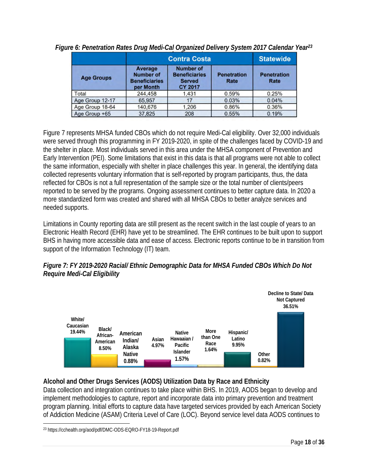|                   | <b>Contra Costa</b>                                              |                                                                             | <b>Statewide</b>           |                            |
|-------------------|------------------------------------------------------------------|-----------------------------------------------------------------------------|----------------------------|----------------------------|
| <b>Age Groups</b> | Average<br><b>Number of</b><br><b>Beneficiaries</b><br>per Month | <b>Number of</b><br><b>Beneficiaries</b><br><b>Served</b><br><b>CY 2017</b> | <b>Penetration</b><br>Rate | <b>Penetration</b><br>Rate |
| Total             | 244,458                                                          | 1.431                                                                       | 0.59%                      | 0.25%                      |
| Age Group 12-17   | 65,957                                                           | 17                                                                          | 0.03%                      | 0.04%                      |
| Age Group 18-64   | 140,676                                                          | 1,206                                                                       | 0.86%                      | 0.36%                      |
| Age Group +65     | 37,825                                                           | 208                                                                         | 0.55%                      | 0.19%                      |

*Figure 6: Penetration Rates Drug Medi-Cal Organized Delivery System 2017 Calendar Year<sup>23</sup>*

Figure 7 represents MHSA funded CBOs which do not require Medi-Cal eligibility. Over 32,000 individuals were served through this programming in FY 2019-2020, in spite of the challenges faced by COVID-19 and the shelter in place. Most individuals served in this area under the MHSA component of Prevention and Early Intervention (PEI). Some limitations that exist in this data is that all programs were not able to collect the same information, especially with shelter in place challenges this year. In general, the identifying data collected represents voluntary information that is self-reported by program participants, thus, the data reflected for CBOs is not a full representation of the sample size or the total number of clients/peers reported to be served by the programs. Ongoing assessment continues to better capture data. In 2020 a more standardized form was created and shared with all MHSA CBOs to better analyze services and needed supports.

Limitations in County reporting data are still present as the recent switch in the last couple of years to an Electronic Health Record (EHR) have yet to be streamlined. The EHR continues to be built upon to support BHS in having more accessible data and ease of access. Electronic reports continue to be in transition from support of the Information Technology (IT) team.

*Figure 7: FY 2019-2020 Racial/ Ethnic Demographic Data for MHSA Funded CBOs Which Do Not Require Medi-Cal Eligibility*



**Alcohol and Other Drugs Services (AODS) Utilization Data by Race and Ethnicity** Data collection and integration continues to take place within BHS. In 2019, AODS began to develop and implement methodologies to capture, report and incorporate data into primary prevention and treatment program planning. Initial efforts to capture data have targeted services provided by each American Society of Addiction Medicine (ASAM) Criteria Level of Care (LOC). Beyond service level data AODS continues to

<sup>23</sup> https://cchealth.org/aod/pdf/DMC-ODS-EQRO-FY18-19-Report.pdf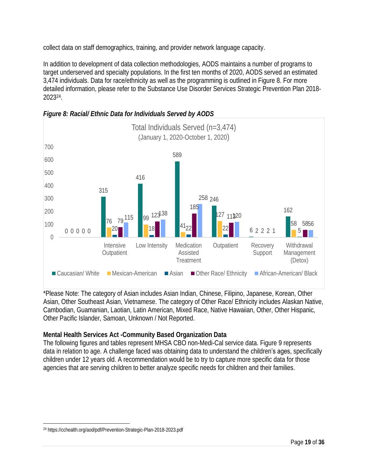collect data on staff demographics, training, and provider network language capacity.

In addition to development of data collection methodologies, AODS maintains a number of programs to target underserved and specialty populations. In the first ten months of 2020, AODS served an estimated 3,474 individuals. Data for race/ethnicity as well as the programming is outlined in Figure 8. For more detailed information, please refer to the Substance Use Disorder Services Strategic Prevention Plan 2018- 2023<sup>24</sup> .



*Figure 8: Racial/ Ethnic Data for Individuals Served by AODS*

\*Please Note: The category of Asian includes Asian Indian, Chinese, Filipino, Japanese, Korean, Other Asian, Other Southeast Asian, Vietnamese. The category of Other Race/ Ethnicity includes Alaskan Native, Cambodian, Guamanian, Laotian, Latin American, Mixed Race, Native Hawaiian, Other, Other Hispanic, Other Pacific Islander, Samoan, Unknown / Not Reported.

**Mental Health Services Act -Community Based Organization Data**

The following figures and tables represent MHSA CBO non-Medi-Cal service data. Figure 9 represents data in relation to age. A challenge faced was obtaining data to understand the children's ages, specifically children under 12 years old. A recommendation would be to try to capture more specific data for those agencies that are serving children to better analyze specific needs for children and their families.

<sup>24</sup> <https://cchealth.org/aod/pdf/Prevention-Strategic-Plan-2018-2023.pdf>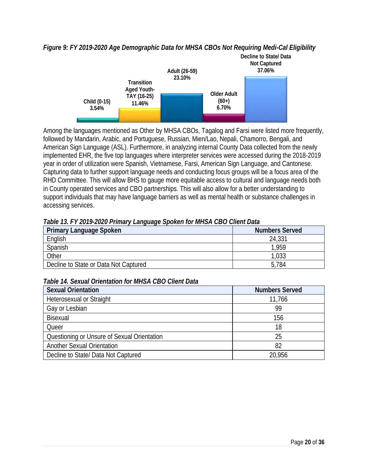*Figure 9: FY 2019-2020 Age Demographic Data for MHSA CBOs Not Requiring Medi-Cal Eligibility*



Among the languages mentioned as Other by MHSA CBOs, Tagalog and Farsi were listed more frequently, followed by Mandarin, Arabic, and Portuguese, Russian, Mien/Lao, Nepali, Chamorro, Bengali, and American Sign Language (ASL). Furthermore, in analyzing internal County Data collected from the newly implemented EHR, the five top languages where interpreter services were accessed during the 2018-2019 year in order of utilization were Spanish, Vietnamese, Farsi, American Sign Language, and Cantonese. Capturing data to further support language needs and conducting focus groups will be a focus area of the RHD Committee. This will allow BHS to gauge more equitable access to cultural and language needs both in County operated services and CBO partnerships. This will also allow for a better understanding to support individuals that may have language barriers as well as mental health or substance challenges in accessing services.

| Table 13. FY 2019-2020 Primary Language Spoken for MHSA CBO Client Data |  |
|-------------------------------------------------------------------------|--|

| Primary Language Spoken               | Numbers Served |
|---------------------------------------|----------------|
| English                               | 24,331         |
| Spanish                               | l 959          |
| Other                                 | 033            |
| Decline to State or Data Not Captured | 5.784          |

#### *Table 14. Sexual Orientation for MHSA CBO Client Data*

| Sexual Orientation                          | <b>Numbers Served</b> |
|---------------------------------------------|-----------------------|
| Heterosexual or Straight                    | 11,766                |
| Gay or Lesbian                              | 99                    |
| Bisexual                                    | 156                   |
| Queer                                       | 18                    |
| Questioning or Unsure of Sexual Orientation | 25                    |
| Another Sexual Orientation                  | 82                    |
| Decline to State/ Data Not Captured         | 20.956                |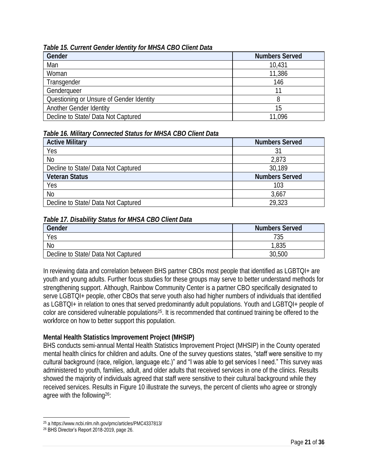#### *Table 15. Current Gender Identity for MHSA CBO Client Data*

| Gender                                   | <b>Numbers Served</b> |
|------------------------------------------|-----------------------|
| Man                                      | 10,431                |
| Woman                                    | 11,386                |
| Transgender                              | 146                   |
| Genderqueer                              |                       |
| Questioning or Unsure of Gender Identity |                       |
| Another Gender Identity                  | 15                    |
| Decline to State/ Data Not Captured      | 1.096                 |

#### *Table 16. Military Connected Status for MHSA CBO Client Data*

| <b>Active Military</b>              | <b>Numbers Served</b> |
|-------------------------------------|-----------------------|
| Yes                                 |                       |
| N <sub>0</sub>                      | 2,873                 |
| Decline to State/ Data Not Captured | 30,189                |
| Veteran Status                      | <b>Numbers Served</b> |
| Yes                                 | 103                   |
| N <sub>0</sub>                      | 3,667                 |
| Decline to State/ Data Not Captured | 29.323                |

#### *Table 17. Disability Status for MHSA CBO Client Data*

| Gender                              | <b>Numbers Served</b> |  |  |
|-------------------------------------|-----------------------|--|--|
| Yes                                 | 735                   |  |  |
| N <sub>o</sub>                      | ,835                  |  |  |
| Decline to State/ Data Not Captured | 30,500                |  |  |

In reviewing data and correlation between BHS partner CBOs most people that identified as LGBTQI+ are youth and young adults. Further focus studies for these groups may serve to better understand methods for strengthening support. Although, Rainbow Community Center is a partner CBO specifically designated to serve LGBTQI+ people, other CBOs that serve youth also had higher numbers of individuals that identified as LGBTQI+ in relation to ones that served predominantly adult populations. Youth and LGBTQI+ people of color are considered vulnerable populations25. It is recommended that continued training be offered to the workforce on how to better support this population.

#### **Mental Health Statistics Improvement Project (MHSIP)**

BHS conducts semi-annual Mental Health Statistics Improvement Project (MHSIP) in the County operated mental health clinics for children and adults. One of the survey questions states, "staff were sensitive to my cultural background (race, religion, language etc.)" and "I was able to get services I need." This survey was administered to youth, families, adult, and older adults that received services in one of the clinics. Results showed the majority of individuals agreed that staff were sensitive to their cultural background while they received services. Results in Figure 10 illustrate the surveys, the percent of clients who agree or strongly agree with the following26:

<sup>25</sup> [a https://www.ncbi.nlm.nih.gov/pmc/articles/PMC4337813/](https://www.ncbi.nlm.nih.gov/pmc/articles/PMC4337813/)

<sup>&</sup>lt;sup>26</sup> BHS Director's Report 2018-2019, page 26.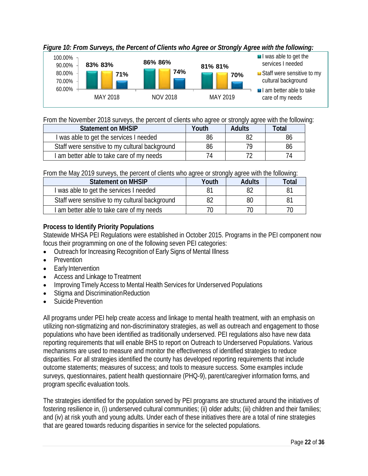

*Figure 10: From Surveys, the Percent of Clients who Agree or Strongly Agree with the following:*

From the November 2018 surveys, the percent of clients who agree or strongly agree with the following:

| Statement on MHSIP                             | Youth | Adults | <u>otal</u> |
|------------------------------------------------|-------|--------|-------------|
| I was able to get the services I needed        | ඊᲘ    |        | ŏt          |
| Staff were sensitive to my cultural background | ඊᲘ    |        | ŏt          |
| I am better able to take care of my needs      |       |        |             |

From the May 2019 surveys, the percent of clients who agree or strongly agree with the following:

| Statement on MHSIP                             | Youth | Adults | intal |
|------------------------------------------------|-------|--------|-------|
| I was able to get the services I needed        |       |        |       |
| Staff were sensitive to my cultural background |       |        |       |
| I am better able to take care of my needs      |       |        |       |

**Process to Identify Priority Populations**

Statewide MHSA PEI Regulations were established in October 2015. Programs in the PEI component now focus their programming on one of the following seven PEI categories:

- Outreach for Increasing Recognition of Early Signs of Mental Illness
- **Prevention**
- Early Intervention
- Access and Linkage to Treatment
- Improving Timely Access to Mental Health Services for Underserved Populations
- Stigma and Discrimination Reduction
- Suicide Prevention

All programs under PEI help create access and linkage to mental health treatment, with an emphasis on utilizing non-stigmatizing and non-discriminatory strategies, as well as outreach and engagement to those populations who have been identified as traditionally underserved. PEI regulations also have new data reporting requirements that will enable BHS to report on Outreach to Underserved Populations. Various mechanisms are used to measure and monitor the effectiveness of identified strategies to reduce disparities. For all strategies identified the county has developed reporting requirements that include outcome statements; measures of success; and tools to measure success. Some examples include surveys, questionnaires, patient health questionnaire (PHQ-9), parent/caregiver information forms, and programspecific evaluation tools.

The strategies identified for the population served by PEI programs are structured around the initiatives of fostering resilience in, (i) underserved cultural communities; (ii) older adults; (iii) children and their families; and (iv) at risk youth and young adults. Under each of these initiatives there are a total of nine strategies that are geared towards reducing disparities in service for the selected populations.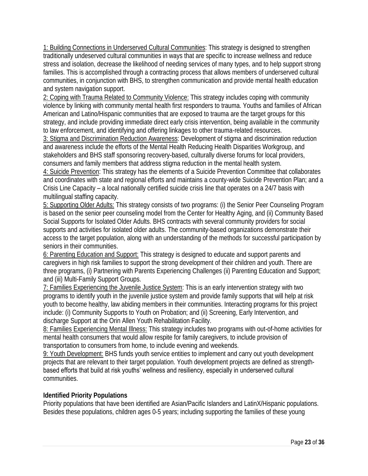1: Building Connections in Underserved Cultural Communities: This strategy is designed to strengthen traditionally undeserved cultural communities in ways that are specific to increase wellness and reduce stress and isolation, decrease the likelihood of needing services of many types, and to help support strong families. This is accomplished through a contracting process that allows members of underserved cultural communities, in conjunction with BHS, to strengthen communication and provide mental health education and system navigation support.

2: Coping with Trauma Related to Community Violence: This strategy includes coping with community violence by linking with community mental health first responders to trauma. Youths and families of African American and Latino/Hispanic communities that are exposed to trauma are the target groups for this strategy, and include providing immediate direct early crisis intervention, being available in the community to law enforcement, and identifying and offering linkages to other trauma-related resources.

3: Stigma and Discrimination Reduction Awareness: Development of stigma and discrimination reduction and awareness include the efforts of the Mental Health Reducing Health Disparities Workgroup, and stakeholders and BHS staff sponsoring recovery-based, culturally diverse forums for local providers, consumers and family members that address stigma reduction in the mental health system.

4: Suicide Prevention: This strategy has the elements of a Suicide Prevention Committee that collaborates and coordinates with state and regional efforts and maintains a county-wide Suicide Prevention Plan; and a Crisis Line Capacity – a local nationally certified suicide crisis line that operates on a 24/7 basis with multilingual staffing capacity.

5: Supporting Older Adults: This strategy consists of two programs: (i) the Senior Peer Counseling Program is based on the senior peer counseling model from the Center for Healthy Aging, and (ii) Community Based Social Supports for Isolated Older Adults. BHS contracts with several community providers for social supports and activities for isolated older adults. The community-based organizations demonstrate their access to the target population, along with an understanding of the methods for successful participation by seniors in their communities.

6: Parenting Education and Support: This strategy is designed to educate and support parents and caregivers in high risk families to support the strong development of their children and youth. There are three programs, (i) Partnering with Parents Experiencing Challenges (ii) Parenting Education and Support; and (iii) Multi-Family Support Groups.

7: Families Experiencing the Juvenile Justice System: This is an early intervention strategy with two programs to identify youth in the juvenile justice system and provide family supports that will help at risk youth to become healthy, law abiding members in their communities. Interacting programs for this project include: (i) Community Supports to Youth on Probation; and (ii) Screening, Early Intervention, and discharge Support at the Orin Allen Youth Rehabilitation Facility.

8: Families Experiencing Mental Illness: This strategy includes two programs with out-of-home activities for mental health consumers that would allow respite for family caregivers, to include provision of transportation to consumers from home, to include evening and weekends.

9: Youth Development: BHS funds youth service entities to implement and carry out youth development projects that are relevant to their target population. Youth development projects are defined as strengthbased efforts that build at risk youths' wellness and resiliency, especially in underserved cultural communities.

## **Identified Priority Populations**

Priority populations that have been identified are Asian/Pacific Islanders and LatinX/Hispanic populations. Besides these populations, children ages 0-5 years; including supporting the families of these young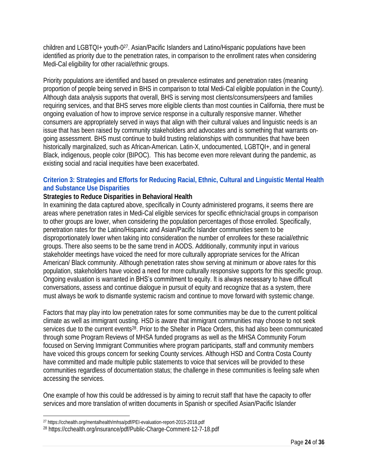children and LGBTQI+ youth-0 <sup>27</sup>. Asian/Pacific Islanders and Latino/Hispanic populations have been identified as priority due to the penetration rates, in comparison to the enrollment rates when considering Medi-Cal eligibility for other racial/ethnic groups.

Priority populations are identified and based on prevalence estimates and penetration rates (meaning proportion of people being served in BHS in comparison to total Medi-Cal eligible population in the County). Although data analysis supports that overall, BHS is serving most clients/consumers/peers and families requiring services, and that BHS serves more eligible clients than most counties in California, there must be ongoing evaluation of how to improve service response in a culturally responsive manner. Whether consumers are appropriately served in ways that align with their cultural values and linguistic needs is an issue that has been raised by community stakeholders and advocates and is something that warrants ongoing assessment. BHS must continue to build trusting relationships with communities that have been historically marginalized, such as African-American. Latin-X, undocumented, LGBTQI+, and in general Black, indigenous, people color (BIPOC). This has become even more relevant during the pandemic, as existing social and racial inequities have been exacerbated.

#### **Criterion 3: Strategies and Efforts for Reducing Racial, Ethnic, Cultural and Linguistic Mental Health and Substance Use Disparities**

#### **Strategies to Reduce Disparities in Behavioral Health**

In examining the data captured above, specifically in County administered programs, it seems there are areas where penetration rates in Medi-Cal eligible services for specific ethnic/racial groups in comparison to other groups are lower, when considering the population percentages of those enrolled. Specifically, penetration rates for the Latino/Hispanic and Asian/Pacific Islander communities seem to be disproportionately lower when taking into consideration the number of enrollees for these racial/ethnic groups. There also seems to be the same trend in AODS. Additionally, community input in various stakeholder meetings have voiced the need for more culturally appropriate services for the African American/ Black community. Although penetration rates show serving at minimum or above rates for this population, stakeholders have voiced a need for more culturally responsive supports for this specific group. Ongoing evaluation is warranted in BHS's commitment to equity. It is always necessary to have difficult conversations, assess and continue dialogue in pursuit of equity and recognize that as a system, there must always be work to dismantle systemic racism and continue to move forward with systemic change.

Factors that may play into low penetration rates for some communities may be due to the current political climate as well as immigrant ousting. HSD is aware that immigrant communities may choose to not seek services due to the current events<sup>28</sup>. Prior to the Shelter in Place Orders, this had also been communicated through some Program Reviews of MHSA funded programs as well as the MHSA Community Forum focused on Serving Immigrant Communities where program participants, staff and community members have voiced this groups concern for seeking County services. Although HSD and Contra Costa County have committed and made multiple public statements to voice that services will be provided to these communities regardless of documentation status; the challenge in these communities is feeling safe when accessing the services.

One example of how this could be addressed is by aiming to recruit staff that have the capacity to offer services and more translation of written documents in Spanish or specified Asian/Pacific Islander

<sup>27</sup> <https://cchealth.org/mentalhealth/mhsa/pdf/PEI-evaluation-report-2015-2018.pdf>

<sup>28</sup> https://cchealth.org/insurance/pdf/Public-Charge-Comment-12-7-18.pdf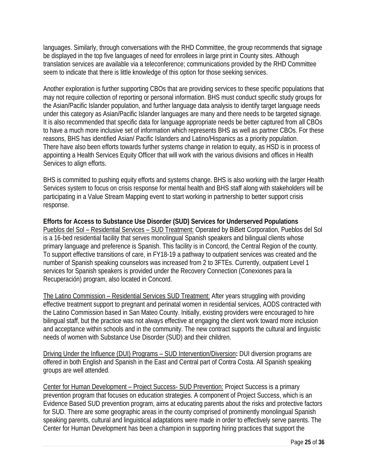languages. Similarly, through conversations with the RHD Committee, the group recommends that signage be displayed in the top five languages of need for enrollees in large print in County sites. Although translation services are available via a teleconference; communications provided by the RHD Committee seem to indicate that there is little knowledge of this option for those seeking services.

Another exploration is further supporting CBOs that are providing services to these specific populations that may not require collection of reporting or personal information. BHS must conduct specific study groups for the Asian/Pacific Islander population, and further language data analysis to identify target language needs under this category as Asian/Pacific Islander languages are many and there needs to be targeted signage. It is also recommended that specific data for language appropriate needs be better captured from all CBOs to have a much more inclusive set of information which represents BHS as well as partner CBOs. For these reasons, BHS has identified Asian/ Pacific Islanders and Latino/Hispanics as a priority population. There have also been efforts towards further systems change in relation to equity, as HSD is in process of appointing a Health Services Equity Officer that will work with the various divisions and offices in Health Services to align efforts.

BHS is committed to pushing equity efforts and systems change. BHS is also working with the larger Health Services system to focus on crisis response for mental health and BHS staff along with stakeholders will be participating in a Value Stream Mapping event to start working in partnership to better support crisis response.

**Efforts for Access to Substance Use Disorder (SUD) Services for Underserved Populations** Pueblos del Sol – Residential Services – SUD Treatment: Operated by BiBett Corporation, Pueblos del Sol is a 16-bed residential facility that serves monolingual Spanish speakers and bilingual clients whose primary language and preference is Spanish. This facility is in Concord, the Central Region of the county. To support effective transitions of care, in FY18-19 a pathway to outpatient services was created and the number of Spanish speaking counselors was increased from 2 to 3FTEs. Currently, outpatient Level 1 services for Spanish speakers is provided under the Recovery Connection (Conexiones para la Recuperación) program, also located in Concord.

The Latino Commission – Residential Services SUD Treatment: After years struggling with providing effective treatment support to pregnant and perinatal women in residential services, AODS contracted with the Latino Commission based in San Mateo County. Initially, existing providers were encouraged to hire bilingual staff, but the practice was not always effective at engaging the client work toward more inclusion and acceptance within schools and in the community. The new contract supports the cultural and linguistic needs of women with Substance Use Disorder (SUD) and their children.

Driving Under the Influence (DUI) Programs – SUD Intervention/Diversion**:** DUI diversion programs are offered in both English and Spanish in the East and Central part of Contra Costa. All Spanish speaking groups are well attended.

Center for Human Development – Project Success- SUD Prevention: Project Success is a primary prevention program that focuses on education strategies. A component of Project Success, which is an Evidence Based SUD prevention program, aims at educating parents about the risks and protective factors for SUD. There are some geographic areas in the county comprised of prominently monolingual Spanish speaking parents, cultural and linguistical adaptations were made in order to effectively serve parents. The Center for Human Development has been a champion in supporting hiring practices that support the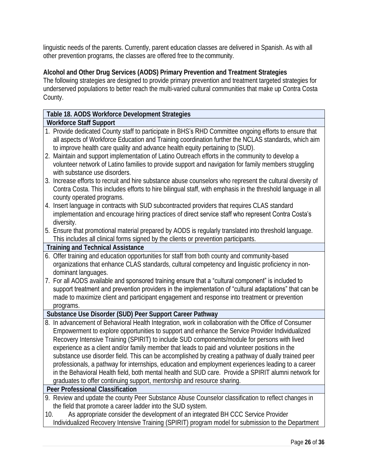linguistic needs of the parents. Currently, parent education classes are delivered in Spanish. As with all other prevention programs, the classes are offered free to the community.

**Alcohol and Other Drug Services (AODS) Primary Prevention and Treatment Strategies**  The following strategies are designed to provide primary prevention and treatment targeted strategies for underserved populations to better reach the multi-varied cultural communities that make up Contra Costa County.

## **Table 18. AODS Workforce Development Strategies**

#### **Workforce Staff Support**

1. Provide dedicated County staff to participate in BHS's RHD Committee ongoing efforts to ensure that all aspects of Workforce Education and Training coordination further the NCLAS standards, which aim to improve health care quality and advance health equity pertaining to (SUD). 2. Maintain and support implementation of Latino Outreach efforts in the community to develop a volunteer network of Latino families to provide support and navigation for family members struggling with substance use disorders. 3. Increase efforts to recruit and hire substance abuse counselors who represent the cultural diversity of Contra Costa. This includes efforts to hire bilingual staff, with emphasis in the threshold language in all county operated programs. 4. Insert language in contracts with SUD subcontracted providers that requires CLAS standard implementation and encourage hiring practices of direct service staff who represent Contra Costa's diversity. 5. Ensure that promotional material prepared by AODS is regularly translated into threshold language. This includes all clinical forms signed by the clients or prevention participants. **Training and Technical Assistance** 6. Offer training and education opportunities for staff from both county and community-based organizations that enhance CLAS standards, cultural competency and linguistic proficiency in nondominant languages. 7. For all AODS available and sponsored training ensure that a "cultural component" is included to support treatment and prevention providers in the implementation of "cultural adaptations" that can be

made to maximize client and participant engagement and response into treatment or prevention programs.

**Substance Use Disorder (SUD) Peer Support Career Pathway**

8. In advancement of Behavioral Health Integration, work in collaboration with the Office of Consumer Empowerment to explore opportunities to support and enhance the Service Provider Individualized Recovery Intensive Training (SPIRIT) to include SUD components/module for persons with lived experience as a client and/or family member that leads to paid and volunteer positions in the substance use disorder field. This can be accomplished by creating a pathway of dually trained peer professionals, a pathway for internships, education and employment experiences leading to a career in the Behavioral Health field, both mental health and SUD care. Provide a SPIRIT alumni network for graduates to offer continuing support, mentorship and resource sharing.

**Peer Professional Classification**

- 9. Review and update the county Peer Substance Abuse Counselor classification to reflect changes in the field that promote a career ladder into the SUD system.
- 10. As appropriate consider the development of an integrated BH CCC Service Provider Individualized Recovery Intensive Training (SPIRIT) program model for submission to the Department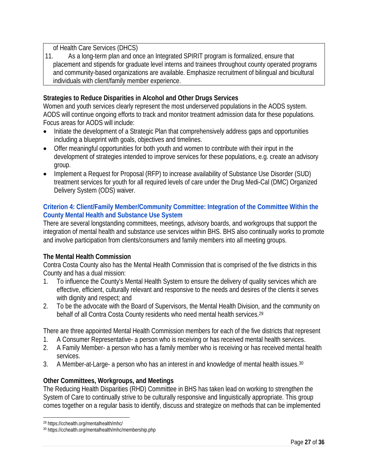of Health Care Services (DHCS)

11. As a long-term plan and once an Integrated SPIRIT program is formalized, ensure that placement and stipends for graduate level interns and trainees throughout county operated programs and community-based organizations are available. Emphasize recruitment of bilingual and bicultural individuals with client/family member experience.

**Strategies to Reduce Disparities in Alcohol and Other Drugs Services** 

Women and youth services clearly represent the most underserved populations in the AODS system. AODS will continue ongoing efforts to track and monitor treatment admission data for these populations. Focus areas for AODS will include:

- Initiate the development of a Strategic Plan that comprehensively address gaps and opportunities including a blueprint with goals, objectives and timelines.
- Offer meaningful opportunities for both youth and women to contribute with their input in the development of strategies intended to improve services for these populations, e.g. create an advisory group.
- Implement a Request for Proposal (RFP) to increase availability of Substance Use Disorder (SUD) treatment services for youth for all required levels of care under the Drug Medi-Cal (DMC) Organized Delivery System (ODS) waiver.

## **Criterion 4: Client/Family Member/Community Committee: Integration of the Committee Within the County Mental Health and Substance Use System**

There are several longstanding committees, meetings, advisory boards, and workgroups that support the integration of mental health and substance use services within BHS. BHS also continually works to promote and involve participation from clients/consumers and family members into all meeting groups.

# **The Mental Health Commission**

Contra Costa County also has the Mental Health Commission that is comprised of the five districts in this County and has a dual mission:

- 1. To influence the County's Mental Health System to ensure the delivery of quality services which are effective, efficient, culturally relevant and responsive to the needs and desires of the clients it serves with dignity and respect; and
- 2. To be the advocate with the Board of Supervisors, the Mental Health Division, and the community on behalf of all Contra Costa County residents who need mental health services.<sup>29</sup>

There are three appointed Mental Health Commission members for each of the five districts that represent

- 1. A Consumer Representative- a person who is receiving or has received mental health services.
- 2. A Family Member- a person who has a family member who is receiving or has received mental health services.
- 3. A Member-at-Large- a person who has an interest in and knowledge of mental health issues.<sup>30</sup>

## **Other Committees, Workgroups, and Meetings**

The Reducing Health Disparities (RHD) Committee in BHS has taken lead on working to strengthen the System of Care to continually strive to be culturally responsive and linguistically appropriate. This group comes together on a regular basis to identify, discuss and strategize on methods that can be implemented

<sup>29</sup> <https://cchealth.org/mentalhealth/mhc/>

<sup>30</sup> https://cchealth.org/mentalhealth/mhc/membership.php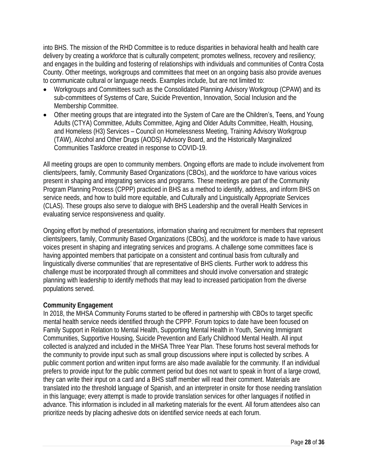into BHS. The mission of the RHD Committee is to reduce disparities in behavioral health and health care delivery by creating a workforce that is culturally competent; promotes wellness, recovery and resiliency; and engages in the building and fostering of relationships with individuals and communities of Contra Costa County. Other meetings, workgroups and committees that meet on an ongoing basis also provide avenues to communicate cultural or language needs. Examples include, but are not limited to:

- Workgroups and Committees such as the Consolidated Planning Advisory Workgroup (CPAW) and its sub-committees of Systems of Care, Suicide Prevention, Innovation, Social Inclusion and the Membership Committee.
- Other meeting groups that are integrated into the System of Care are the Children's, Teens, and Young Adults (CTYA) Committee, Adults Committee, Aging and Older Adults Committee, Health, Housing, and Homeless (H3) Services – Council on Homelessness Meeting, Training Advisory Workgroup (TAW), Alcohol and Other Drugs (AODS) Advisory Board, and the Historically Marginalized Communities Taskforce created in response to COVID-19.

All meeting groups are open to community members. Ongoing efforts are made to include involvement from clients/peers, family, Community Based Organizations (CBOs), and the workforce to have various voices present in shaping and integrating services and programs. These meetings are part of the Community Program Planning Process (CPPP) practiced in BHS as a method to identify, address, and inform BHS on service needs, and how to build more equitable, and Culturally and Linguistically Appropriate Services (CLAS). These groups also serve to dialogue with BHS Leadership and the overall Health Services in evaluating service responsiveness and quality.

Ongoing effort by method of presentations, information sharing and recruitment for members that represent clients/peers, family, Community Based Organizations (CBOs), and the workforce is made to have various voices present in shaping and integrating services and programs. A challenge some committees face is having appointed members that participate on a consistent and continual basis from culturally and linguistically diverse **communities'** that are representative of BHS clients. Further work to address this challenge must be incorporated through all committees and should involve conversation and strategic planning with leadership to identify methods that may lead to increased participation from the diverse populations served.

## **Community Engagement**

In 2018, the MHSA Community Forums started to be offered in partnership with CBOs to target specific mental health service needs identified through the CPPP. Forum topics to date have been focused on Family Support in Relation to Mental Health, Supporting Mental Health in Youth, Serving Immigrant Communities, Supportive Housing, Suicide Prevention and Early Childhood Mental Health. All input collected is analyzed and included in the MHSA Three Year Plan. These forums host several methods for the community to provide input such as small group discussions where input is collected by scribes. A public comment portion and written input forms are also made available for the community. If an individual prefers to provide input for the public comment period but does not want to speak in front of a large crowd, they can write their input on a card and a BHS staff member will read their comment. Materials are translated into the threshold language of Spanish, and an interpreter in onsite for those needing translation in this language; every attempt is made to provide translation services for other languages if notified in advance. This information is included in all marketing materials for the event. All forum attendees also can prioritize needs by placing adhesive dots on identified service needs at each forum.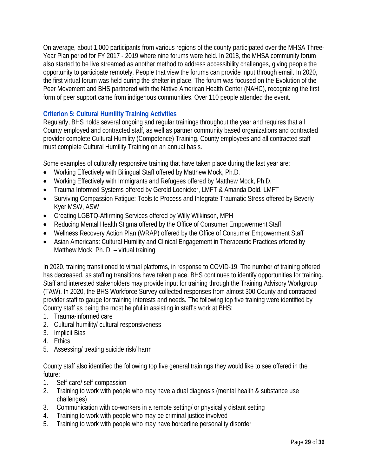On average, about 1,000 participants from various regions of the county participated over the MHSA Three-Year Plan period for FY 2017 - 2019 where nine forums were held. In 2018, the MHSA community forum also started to be live streamed as another method to address accessibility challenges, giving people the opportunity to participate remotely. People that view the forums can provide input through email. In 2020, the first virtual forum was held during the shelter in place. The forum was focused on the Evolution of the Peer Movement and BHS partnered with the Native American Health Center (NAHC), recognizing the first form of peer support came from indigenous communities. Over 110 people attended the event.

## **Criterion 5: Cultural Humility Training Activities**

Regularly, BHS holds several ongoing and regular trainings throughout the year and requires that all County employed and contracted staff, as well as partner community based organizations and contracted provider complete Cultural Humility (Competence) Training. County employees and all contracted staff must complete Cultural Humility Training on an annual basis.

Some examples of culturally responsive training that have taken place during the last year are;

- Working Effectively with Bilingual Staff offered by Matthew Mock, Ph.D.
- Working Effectively with Immigrants and Refugees offered by Matthew Mock, Ph.D.
- Trauma Informed Systems offered by Gerold Loenicker, LMFT & Amanda Dold, LMFT
- Surviving Compassion Fatigue: Tools to Process and Integrate Traumatic Stress offered by Beverly Kyer MSW, ASW
- Creating LGBTQ-Affirming Services offered by Willy Wilkinson, MPH
- Reducing Mental Health Stigma offered by the Office of Consumer Empowerment Staff
- Wellness Recovery Action Plan (WRAP) offered by the Office of Consumer Empowerment Staff
- Asian Americans: Cultural Humility and Clinical Engagement in Therapeutic Practices offered by Matthew Mock, Ph. D. – virtual training

In 2020, training transitioned to virtual platforms, in response to COVID-19. The number of training offered has decreased, as staffing transitions have taken place. BHS continues to identify opportunities for training. Staff and interested stakeholders may provide input for training through the Training Advisory Workgroup (TAW). In 2020, the BHS Workforce Survey collected responses from almost 300 County and contracted provider staff to gauge for training interests and needs. The following top five training were identified by County staff as being the most helpful in assisting in staff's work at BHS:

- 1. Trauma-informed care
- 2. Cultural humility/ cultural responsiveness
- 3. Implicit Bias
- 4. Ethics
- 5. Assessing/ treating suicide risk/ harm

County staff also identified the following top five general trainings they would like to see offered in the future:

- 1. Self-care/ self-compassion
- 2. Training to work with people who may have a dual diagnosis (mental health & substance use challenges)
- 3. Communication with co-workers in a remote setting/ or physically distant setting
- 4. Training to work with people who may be criminal justice involved
- 5. Training to work with people who may have borderline personality disorder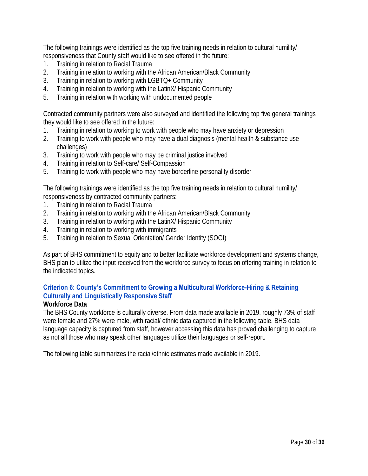The following trainings were identified as the top five training needs in relation to cultural humility/ responsiveness that County staff would like to see offered in the future:

- 1. Training in relation to Racial Trauma
- 2. Training in relation to working with the African American/Black Community
- 3. Training in relation to working with LGBTQ+ Community
- 4. Training in relation to working with the LatinX/ Hispanic Community
- 5. Training in relation with working with undocumented people

Contracted community partners were also surveyed and identified the following top five general trainings they would like to see offered in the future:

- 1. Training in relation to working to work with people who may have anxiety or depression
- 2. Training to work with people who may have a dual diagnosis (mental health & substance use challenges)
- 3. Training to work with people who may be criminal justice involved
- 4. Training in relation to Self-care/ Self-Compassion
- 5. Training to work with people who may have borderline personality disorder

The following trainings were identified as the top five training needs in relation to cultural humility/ responsiveness by contracted community partners:

- 1. Training in relation to Racial Trauma
- 2. Training in relation to working with the African American/Black Community
- 3. Training in relation to working with the LatinX/ Hispanic Community
- 4. Training in relation to working with immigrants
- 5. Training in relation to Sexual Orientation/ Gender Identity (SOGI)

As part of BHS commitment to equity and to better facilitate workforce development and systems change, BHS plan to utilize the input received from the workforce survey to focus on offering training in relation to the indicated topics.

#### **Criterion 6: County's Commitment to Growing a Multicultural Workforce-Hiring & Retaining**

#### **Culturally and Linguistically Responsive Staff Workforce Data**

The BHS County workforce is culturally diverse. From data made available in 2019, roughly 73% of staff were female and 27% were male, with racial/ ethnic data captured in the following table. BHS data language capacity is captured from staff, however accessing this data has proved challenging to capture as not all those who may speak other languages utilize their languages or self-report.

The following table summarizes the racial/ethnic estimates made available in 2019.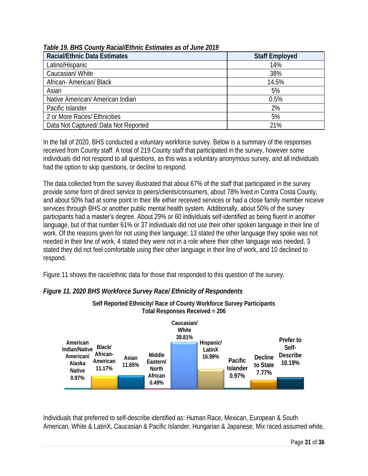| Table 19. BHS County Racial/Ethnic Estimates as of June 2019 |
|--------------------------------------------------------------|
|--------------------------------------------------------------|

| Racial/Ethnic Data Estimates         | <b>Staff Employed</b> |
|--------------------------------------|-----------------------|
| Latino/Hispanic                      | 14%                   |
| Caucasian/White                      | 38%                   |
| African-American/Black               | 14.5%                 |
| Asian                                | 5%                    |
| Native American/ American Indian     | 0.5%                  |
| Pacific Islander                     | 2%                    |
| 2 or More Races/ Ethnicities         | 5%                    |
| Data Not Captured/ Data Not Reported | 21%                   |

In the fall of 2020, BHS conducted a voluntary workforce survey. Below is a summary of the responses received from County staff. A total of 219 County staff that participated in the survey, however some individuals did not respond to all questions, as this was a voluntary anonymous survey, and all individuals had the option to skip questions, or decline to respond.

The data collected from the survey illustrated that about 67% of the staff that participated in the survey provide some form of direct service to peers/clients/consumers, about 78% lived in Contra Costa County, and about 50% had at some point in their life either received services or had a close family member receive services through BHS or another public mental health system. Additionally, about 50% of the survey participants had a master's degree. About 29% or 60 individuals self-identified as being fluent in another language, but of that number 61% or 37 individuals did not use their other spoken language in their line of work. Of the reasons given for not using their language; 13 stated the other language they spoke was not needed in their line of work, 4 stated they were not in a role where their other language was needed, 3 stated they did not feel comfortable using their other language in their line of work, and 10 declined to respond.

Figure 11 shows the race/ethnic data for those that responded to this question of the survey.



*Figure 11. 2020 BHS Workforce Survey Race/ Ethnicity of Respondents*

Individuals that preferred to self-describe identified as: Human Race, Mexican, European & South American, White & LatinX, Caucasian & Pacific Islander, Hungarian & Japanese, Mix raced assumed white,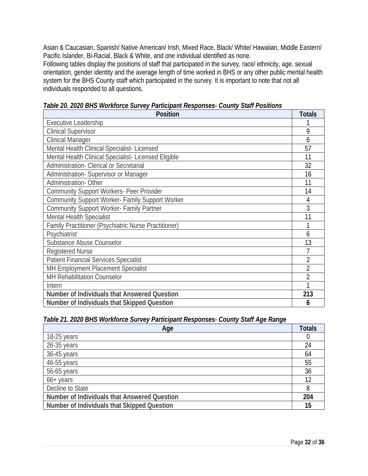Asian & Caucasian, Spanish/ Native American/ Irish, Mixed Race, Black/ White/ Hawaiian, Middle Eastern/ Pacific Islander, Bi-Racial, Black & White, and one individual identified as none.

Following tables display the positions of staff that participated in the survey, race/ ethnicity, age, sexual orientation, gender identity and the average length of time worked in BHS or any other public mental health system for the BHS County staff which participated in the survey. It is important to note that not all individuals responded to all questions.

| Position                                             | Totals         |
|------------------------------------------------------|----------------|
| <b>Executive Leadership</b>                          |                |
| <b>Clinical Supervisor</b>                           | 9              |
| <b>Clinical Manager</b>                              | 6              |
| Mental Health Clinical Specialist-Licensed           | 57             |
| Mental Health Clinical Specialist- Licensed Eligible | 11             |
| Administration- Clerical or Secretarial              | 32             |
| Administration-Supervisor or Manager                 | 16             |
| Administration-Other                                 | 11             |
| Community Support Workers- Peer Provider             | 14             |
| Community Support Worker- Family Support Worker      | 4              |
| Community Support Worker- Family Partner             | 3              |
| Mental Health Specialist                             | 11             |
| Family Practitioner (Psychiatric Nurse Practitioner) |                |
| Psychiatrist                                         | 6              |
| Substance Abuse Counselor                            | 13             |
| <b>Registered Nurse</b>                              |                |
| <b>Patient Financial Services Specialist</b>         | $\overline{2}$ |
| MH Employment Placement Specialist                   | $\overline{2}$ |
| MH Rehabilitation Counselor                          | $\overline{2}$ |
| Intern                                               |                |
| Number of Individuals that Answered Question         | 213            |
| Number of Individuals that Skipped Question          | 6              |

*Table 20. 2020 BHS Workforce Survey Participant Responses- County Staff Positions*

*Table 21. 2020 BHS Workforce Survey Participant Responses- County Staff Age Range*

| Age                                          | Totals |
|----------------------------------------------|--------|
| 18-25 years                                  |        |
| 26-35 years                                  | 24     |
| 36-45 years                                  | 64     |
| 46-55 years                                  | 55     |
| 56-65 years                                  | 36     |
| $66+$ years                                  |        |
| Decline to State                             | 8      |
| Number of Individuals that Answered Question | 204    |
| Number of Individuals that Skipped Question  | 15     |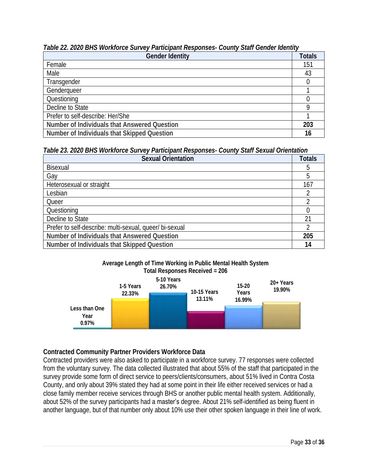## *Table 22. 2020 BHS Workforce Survey Participant Responses- County Staff Gender Identity*

| Gender Identity                              | <b>Totals</b> |
|----------------------------------------------|---------------|
| Female                                       | 151           |
| Male                                         | 43            |
| Transgender                                  |               |
| Genderqueer                                  |               |
| Questioning                                  |               |
| Decline to State                             |               |
| Prefer to self-describe: Her/She             |               |
| Number of Individuals that Answered Question | 203           |
| Number of Individuals that Skipped Question  | 16            |

*Table 23. 2020 BHS Workforce Survey Participant Responses- County Staff Sexual Orientation*

| Sexual Orientation                                     | Totals   |
|--------------------------------------------------------|----------|
| Bisexual                                               | h        |
| Gay                                                    | 5        |
| Heterosexual or straight                               | 167      |
| Lesbian                                                |          |
| Queer                                                  |          |
| Questioning                                            |          |
| Decline to State                                       | $\gamma$ |
| Prefer to self-describe: multi-sexual, queer/bi-sexual |          |
| Number of Individuals that Answered Question           | 205      |
| Number of Individuals that Skipped Question            | 14       |

#### **Average Length of Time Working in Public Mental Health System Total Responses Received = 206**



# **Contracted Community Partner Providers Workforce Data**

Contracted providers were also asked to participate in a workforce survey. 77 responses were collected from the voluntary survey. The data collected illustrated that about 55% of the staff that participated in the survey provide some form of direct service to peers/clients/consumers, about 51% lived in Contra Costa County, and only about 39% stated they had at some point in their life either received services or had a close family member receive services through BHS or another public mental health system. Additionally, about 52% of the survey participants had a master's degree. About 21% self-identified as being fluent in another language, but of that number only about 10% use their other spoken language in their line of work.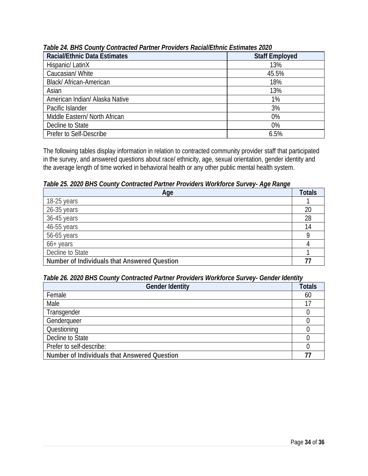| Racial/Ethnic Data Estimates   | <b>Staff Employed</b> |
|--------------------------------|-----------------------|
| Hispanic/ LatinX               | 13%                   |
| Caucasian/White                | 45.5%                 |
| Black/ African-American        | 18%                   |
| Asian                          | 13%                   |
| American Indian/ Alaska Native | 1%                    |
| Pacific Islander               | 3%                    |
| Middle Eastern/ North African  | 0%                    |
| Decline to State               | 0%                    |
| Prefer to Self-Describe        | 6.5%                  |

#### *Table 24. BHS County Contracted Partner Providers Racial/Ethnic Estimates 2020*

The following tables display information in relation to contracted community provider staff that participated in the survey, and answered questions about race/ ethnicity, age, sexual orientation, gender identity and the average length of time worked in behavioral health or any other public mental health system.

*Table 25. 2020 BHS County Contracted Partner Providers Workforce Survey- Age Range*

| Age                                          | Totals |
|----------------------------------------------|--------|
| 18-25 years                                  |        |
| 26-35 years                                  | 20     |
| 36-45 years                                  | 28     |
| 46-55 years                                  | 14     |
| 56-65 years                                  |        |
| $66+$ years                                  |        |
| Decline to State                             |        |
| Number of Individuals that Answered Question |        |

#### *Table 26. 2020 BHS County Contracted Partner Providers Workforce Survey- Gender Identity*

| Gender Identity                              | Totals |
|----------------------------------------------|--------|
| Female                                       | 60     |
| Male                                         | 17     |
| Transgender                                  |        |
| Genderqueer                                  |        |
| Questioning                                  |        |
| Decline to State                             |        |
| Prefer to self-describe:                     |        |
| Number of Individuals that Answered Question |        |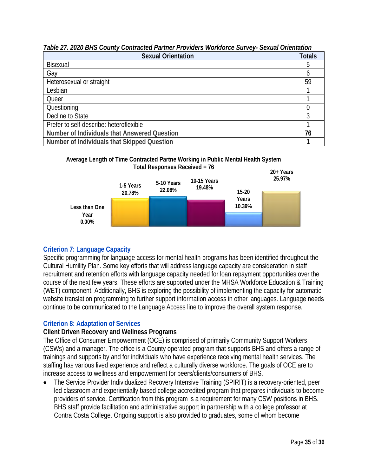## *Table 27. 2020 BHS County Contracted Partner Providers Workforce Survey- Sexual Orientation*

| Sexual Orientation                           | Totals |
|----------------------------------------------|--------|
| Bisexual                                     |        |
| Gay                                          |        |
| Heterosexual or straight                     | 59     |
| Lesbian                                      |        |
| Queer                                        |        |
| Questioning                                  |        |
| Decline to State                             |        |
| Prefer to self-describe: heteroflexible      |        |
| Number of Individuals that Answered Question | 76     |
| Number of Individuals that Skipped Question  |        |





## **Criterion 7: Language Capacity**

Specific programming for language access for mental health programs has been identified throughout the Cultural Humility Plan. Some key efforts that will address language capacity are consideration in staff recruitment and retention efforts with language capacity needed for loan repayment opportunities over the course of the next few years. These efforts are supported under the MHSA Workforce Education & Training (WET) component. Additionally, BHS is exploring the possibility of implementing the capacity for automatic website translation programming to further support information access in other languages. Language needs continue to be communicated to the Language Access line to improve the overall system response.

## **Criterion 8: Adaptation of Services**

**Client Driven Recovery and Wellness Programs**

The Office of Consumer Empowerment (OCE) is comprised of primarily Community Support Workers (CSWs) and a manager. The office is a County operated program that supports BHS and offers a range of trainings and supports by and for individuals who have experience receiving mental health services. The staffing has various lived experience and reflect a culturally diverse workforce. The goals of OCE are to increase access to wellness and empowerment for peers/clients/consumers of BHS.

• The Service Provider Individualized Recovery Intensive Training (SPIRIT) is a recovery-oriented, peer led classroom and experientially based college accredited program that prepares individuals to become providers of service. Certification from this program is a requirement for many CSW positions in BHS. BHS staff provide facilitation and administrative support in partnership with a college professor at Contra Costa College. Ongoing support is also provided to graduates, some of whom become